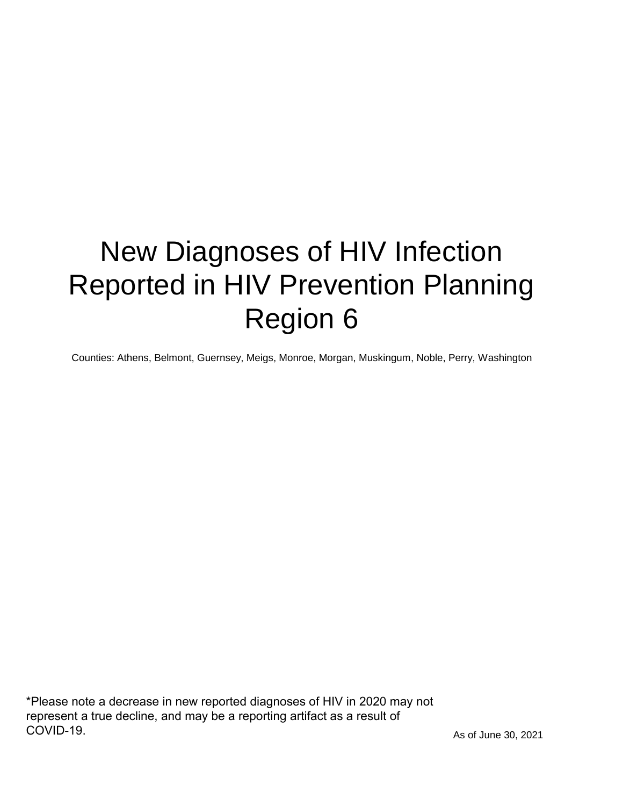# New Diagnoses of HIV Infection Reported in HIV Prevention Planning Region 6

Counties: Athens, Belmont, Guernsey, Meigs, Monroe, Morgan, Muskingum, Noble, Perry, Washington

\*Please note a decrease in new reported diagnoses of HIV in 2020 may not represent a true decline, and may be a reporting artifact as a result of COVID-19.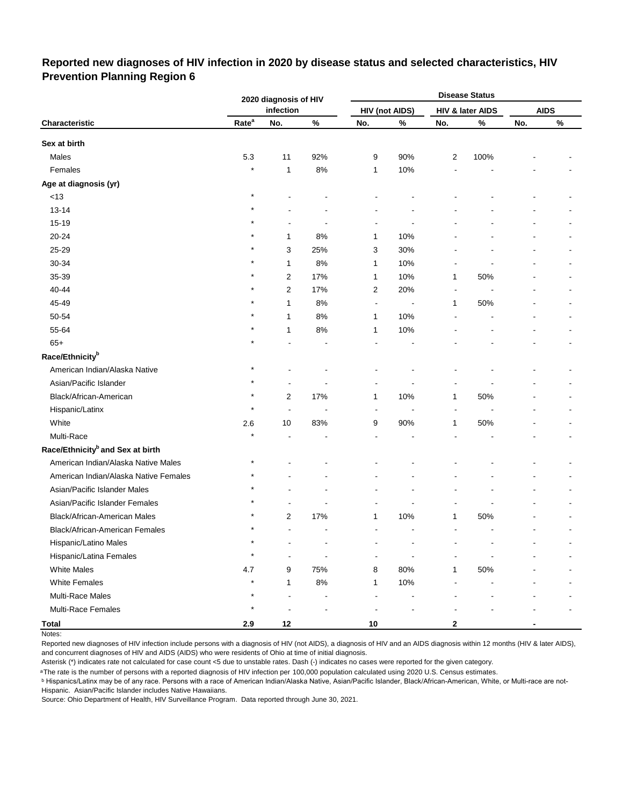#### **Reported new diagnoses of HIV infection in 2020 by disease status and selected characteristics, HIV Prevention Planning Region 6**

|                                              |                   | 2020 diagnosis of HIV |       |                |                       |                | <b>Disease Status</b> |     |             |
|----------------------------------------------|-------------------|-----------------------|-------|----------------|-----------------------|----------------|-----------------------|-----|-------------|
|                                              |                   | infection             |       |                | <b>HIV (not AIDS)</b> |                | HIV & later AIDS      |     | <b>AIDS</b> |
| Characteristic                               | Rate <sup>a</sup> | No.                   | $\%$  | No.            | $\%$                  | No.            | %                     | No. | $\%$        |
| Sex at birth                                 |                   |                       |       |                |                       |                |                       |     |             |
| Males                                        | 5.3               | 11                    | 92%   | 9              | 90%                   | $\overline{c}$ | 100%                  |     |             |
| Females                                      | $\star$           | 1                     | 8%    | 1              | 10%                   |                |                       |     |             |
| Age at diagnosis (yr)                        |                   |                       |       |                |                       |                |                       |     |             |
| $<13$                                        | $\star$           |                       |       |                |                       |                |                       |     |             |
| $13 - 14$                                    |                   |                       |       |                |                       |                |                       |     |             |
| 15-19                                        |                   |                       |       |                |                       |                |                       |     |             |
| 20-24                                        |                   | 1                     | 8%    | 1              | 10%                   |                |                       |     |             |
| 25-29                                        |                   | 3                     | 25%   | 3              | 30%                   |                |                       |     |             |
| 30-34                                        |                   | 1                     | 8%    | 1              | 10%                   |                |                       |     |             |
| 35-39                                        |                   | 2                     | 17%   | 1              | 10%                   | 1              | 50%                   |     |             |
| 40-44                                        |                   | 2                     | 17%   | $\overline{c}$ | 20%                   |                |                       |     |             |
| 45-49                                        |                   | 1                     | 8%    | $\overline{a}$ | $\overline{a}$        | 1              | 50%                   |     |             |
| 50-54                                        |                   | 1                     | 8%    | 1              | 10%                   |                |                       |     |             |
| 55-64                                        |                   | 1                     | 8%    | 1              | 10%                   |                |                       |     |             |
| $65+$                                        |                   |                       |       |                |                       |                |                       |     |             |
| Race/Ethnicity <sup>b</sup>                  |                   |                       |       |                |                       |                |                       |     |             |
| American Indian/Alaska Native                |                   |                       |       |                |                       |                |                       |     |             |
| Asian/Pacific Islander                       |                   |                       |       |                |                       |                |                       |     |             |
| Black/African-American                       |                   | $\overline{2}$        | 17%   | $\mathbf{1}$   | 10%                   | 1              | 50%                   |     |             |
| Hispanic/Latinx                              | $\star$           | ÷,                    |       |                |                       |                |                       |     |             |
| White                                        | 2.6               | 10                    | 83%   | 9              | 90%                   | 1              | 50%                   |     |             |
| Multi-Race                                   |                   |                       |       |                |                       |                |                       |     |             |
| Race/Ethnicity <sup>b</sup> and Sex at birth |                   |                       |       |                |                       |                |                       |     |             |
| American Indian/Alaska Native Males          | $^\star$          |                       |       |                |                       |                |                       |     |             |
| American Indian/Alaska Native Females        |                   |                       |       |                |                       |                |                       |     |             |
| Asian/Pacific Islander Males                 |                   |                       |       |                |                       |                |                       |     |             |
| Asian/Pacific Islander Females               |                   |                       |       |                |                       |                |                       |     |             |
| Black/African-American Males                 |                   | 2                     | 17%   | 1              | 10%                   | 1              | 50%                   |     |             |
| Black/African-American Females               | $\star$           |                       |       |                |                       |                |                       |     |             |
| Hispanic/Latino Males                        | $\star$           |                       |       |                |                       |                |                       |     |             |
| Hispanic/Latina Females                      | $\star$           |                       |       |                |                       |                |                       |     |             |
| <b>White Males</b>                           | 4.7               | 9                     | 75%   | 8              | 80%                   | $\mathbf{1}$   | 50%                   |     |             |
| <b>White Females</b>                         | $\star$           | 1                     | $8\%$ | $\mathbf{1}$   | 10%                   |                |                       |     |             |
| Multi-Race Males                             | $\star$           |                       |       |                |                       |                |                       |     |             |
| Multi-Race Females                           | $^\star$          |                       |       |                |                       |                |                       |     |             |
| <b>Total</b>                                 | 2.9               | 12                    |       | $10\,$         |                       | $\mathbf 2$    |                       |     |             |

Notes:

Reported new diagnoses of HIV infection include persons with a diagnosis of HIV (not AIDS), a diagnosis of HIV and an AIDS diagnosis within 12 months (HIV & later AIDS), and concurrent diagnoses of HIV and AIDS (AIDS) who were residents of Ohio at time of initial diagnosis.

Asterisk (\*) indicates rate not calculated for case count <5 due to unstable rates. Dash (-) indicates no cases were reported for the given category.

<sup>a</sup>The rate is the number of persons with a reported diagnosis of HIV infection per 100,000 population calculated using 2020 U.S. Census estimates.

ᵇ Hispanics/Latinx may be of any race. Persons with a race of American Indian/Alaska Native, Asian/Pacific Islander, Black/African-American, White, or Multi-race are not-Hispanic. Asian/Pacific Islander includes Native Hawaiians.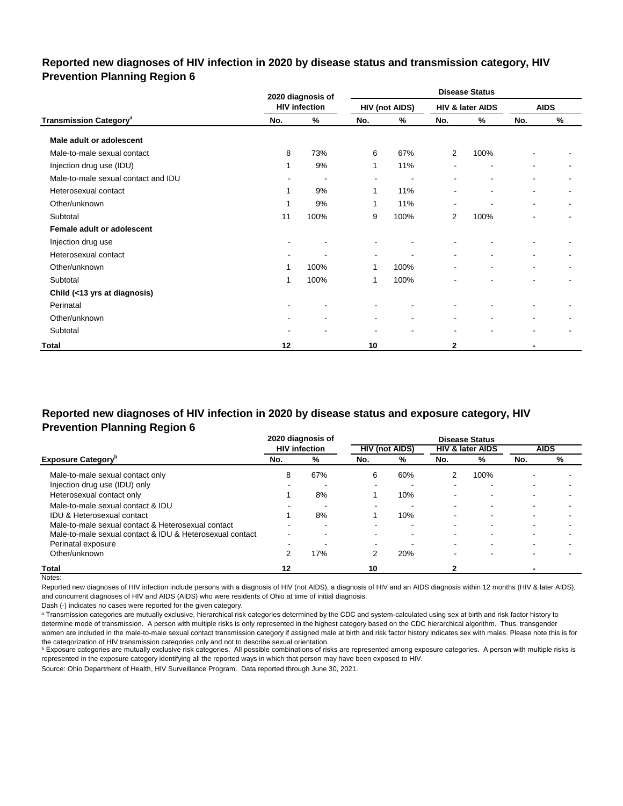#### **Reported new diagnoses of HIV infection in 2020 by disease status and transmission category, HIV Prevention Planning Region 6**

|                                          |                | 2020 diagnosis of    |                          |                       | <b>Disease Status</b>    |                              |     |                          |  |
|------------------------------------------|----------------|----------------------|--------------------------|-----------------------|--------------------------|------------------------------|-----|--------------------------|--|
|                                          |                | <b>HIV infection</b> |                          | <b>HIV (not AIDS)</b> |                          | HIV & later AIDS             |     | <b>AIDS</b>              |  |
| <b>Transmission Category<sup>a</sup></b> | No.            | %                    | No.                      | %                     | No.                      | %                            | No. | %                        |  |
| Male adult or adolescent                 |                |                      |                          |                       |                          |                              |     |                          |  |
| Male-to-male sexual contact              | 8              | 73%                  | 6                        | 67%                   | 2                        | 100%                         |     |                          |  |
| Injection drug use (IDU)                 | 1              | 9%                   | 1                        | 11%                   |                          | $\blacksquare$               |     |                          |  |
| Male-to-male sexual contact and IDU      | $\sim$         | $\blacksquare$       | $\blacksquare$           | $\blacksquare$        | $\sim$                   | $\overline{\phantom{a}}$     | ۰   | ۰                        |  |
| Heterosexual contact                     | 1              | 9%                   | 1                        | 11%                   |                          | $\blacksquare$               | ۰   | $\overline{\phantom{a}}$ |  |
| Other/unknown                            | 1              | 9%                   | 1                        | 11%                   | $\overline{\phantom{a}}$ | $\qquad \qquad \blacksquare$ | ۰   | ۰                        |  |
| Subtotal                                 | 11             | 100%                 | 9                        | 100%                  | $\overline{2}$           | 100%                         |     |                          |  |
| Female adult or adolescent               |                |                      |                          |                       |                          |                              |     |                          |  |
| Injection drug use                       | $\blacksquare$ |                      |                          |                       |                          |                              |     |                          |  |
| Heterosexual contact                     |                |                      | $\overline{\phantom{a}}$ |                       | $\overline{\phantom{0}}$ |                              |     |                          |  |
| Other/unknown                            | 1              | 100%                 | 1                        | 100%                  | $\blacksquare$           | $\overline{a}$               | ۰   | ۰                        |  |
| Subtotal                                 | 1              | 100%                 | 1                        | 100%                  |                          |                              |     |                          |  |
| Child (<13 yrs at diagnosis)             |                |                      |                          |                       |                          |                              |     |                          |  |
| Perinatal                                | $\blacksquare$ |                      |                          |                       |                          |                              |     |                          |  |
| Other/unknown                            |                | ۰                    | $\blacksquare$           | ۰                     | $\overline{\phantom{a}}$ | ۰                            |     |                          |  |
| Subtotal                                 | $\blacksquare$ |                      | $\blacksquare$           | ۰                     | $\blacksquare$           | ۰                            | ۰   |                          |  |
| <b>Total</b>                             | 12             |                      | 10                       |                       | $\mathbf{2}$             |                              |     |                          |  |

#### **Reported new diagnoses of HIV infection in 2020 by disease status and exposure category, HIV Prevention Planning Region 6**

|                                                          |     | 2020 diagnosis of    |                          |                       |        | <b>Disease Status</b>       |     |             |
|----------------------------------------------------------|-----|----------------------|--------------------------|-----------------------|--------|-----------------------------|-----|-------------|
|                                                          |     | <b>HIV infection</b> |                          | <b>HIV (not AIDS)</b> |        | <b>HIV &amp; later AIDS</b> |     | <b>AIDS</b> |
| <b>Exposure Category</b> "                               | No. | %                    | No.                      | %                     | No.    | %                           | No. | %           |
| Male-to-male sexual contact only                         | 8   | 67%                  | 6                        | 60%                   |        | 100%                        |     |             |
| Injection drug use (IDU) only                            |     |                      | $\overline{\phantom{0}}$ |                       | -      |                             |     |             |
| Heterosexual contact only                                |     | 8%                   |                          | 10%                   | -      |                             |     |             |
| Male-to-male sexual contact & IDU                        | -   | -                    | $\sim$                   |                       | $\sim$ | -                           |     |             |
| <b>IDU &amp; Heterosexual contact</b>                    |     | 8%                   |                          | 10%                   | -      | ٠                           |     |             |
| Male-to-male sexual contact & Heterosexual contact       |     | -                    | $\overline{\phantom{0}}$ | -                     | -      |                             |     |             |
| Male-to-male sexual contact & IDU & Heterosexual contact |     |                      |                          |                       |        |                             |     |             |
| Perinatal exposure                                       |     |                      | $\overline{\phantom{0}}$ |                       | $\sim$ |                             |     |             |
| Other/unknown                                            | 2   | 17%                  | 2                        | 20%                   |        |                             |     |             |
| <b>Total</b>                                             | 12  |                      | 10                       |                       |        |                             |     |             |

Notes:

Reported new diagnoses of HIV infection include persons with a diagnosis of HIV (not AIDS), a diagnosis of HIV and an AIDS diagnosis within 12 months (HIV & later AIDS), and concurrent diagnoses of HIV and AIDS (AIDS) who were residents of Ohio at time of initial diagnosis.

Dash (-) indicates no cases were reported for the given category.

a Transmission categories are mutually exclusive, hierarchical risk categories determined by the CDC and system-calculated using sex at birth and risk factor history to determine mode of transmission. A person with multiple risks is only represented in the highest category based on the CDC hierarchical algorithm. Thus, transgender women are included in the male-to-male sexual contact transmission category if assigned male at birth and risk factor history indicates sex with males. Please note this is for the categorization of HIV transmission categories only and not to describe sexual orientation.

**b** Exposure categories are mutually exclusive risk categories. All possible combinations of risks are represented among exposure categories. A person with multiple risks is represented in the exposure category identifying all the reported ways in which that person may have been exposed to HIV.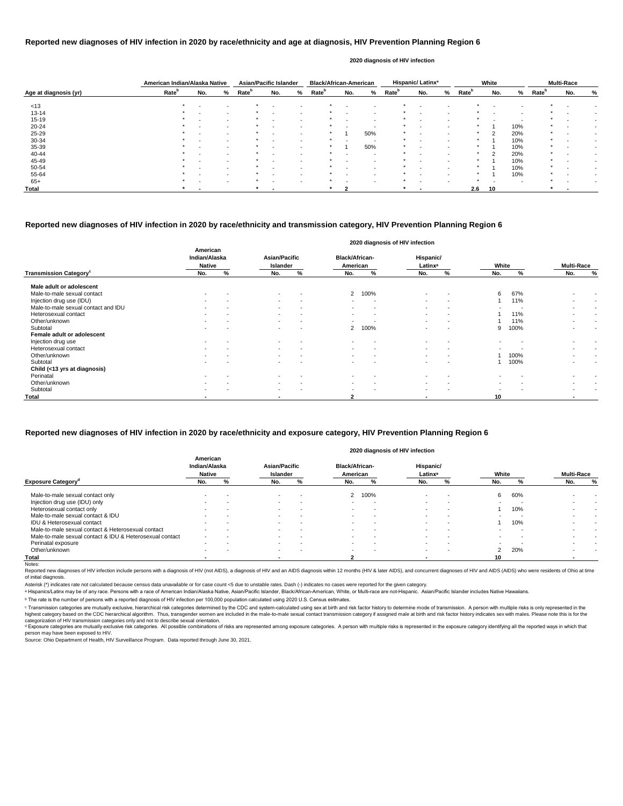|                       | American Indian/Alaska Native |                          |        | <b>Asian/Pacific Islander</b> |                          |   | <b>Black/African-American</b> |        |                          |                   | <b>Hispanic/Latinx<sup>ª</sup></b> |   |                   | White |     |                   | <b>Multi-Race</b> |   |
|-----------------------|-------------------------------|--------------------------|--------|-------------------------------|--------------------------|---|-------------------------------|--------|--------------------------|-------------------|------------------------------------|---|-------------------|-------|-----|-------------------|-------------------|---|
| Age at diagnosis (yr) | Rate <sup>b</sup>             | No.                      | %      | <b>Rate</b> <sup>b</sup>      | No.                      | % | <b>Rate</b> <sup>b</sup>      | No.    | %                        | Rate <sup>b</sup> | No.                                | % | Rate <sup>p</sup> | No.   | %   | Rate <sup>b</sup> | No.               | % |
| < 13                  | $\star$                       |                          |        |                               |                          |   |                               |        |                          |                   |                                    |   |                   |       |     |                   |                   |   |
| $13 - 14$             |                               | $\overline{\phantom{0}}$ | $\sim$ |                               | $\overline{\phantom{a}}$ |   |                               |        | $\overline{\phantom{a}}$ |                   |                                    |   |                   |       |     |                   |                   |   |
| $15 - 19$             |                               | $\blacksquare$           | $\sim$ |                               | $\overline{\phantom{a}}$ |   |                               |        | $\overline{\phantom{a}}$ | *                 |                                    |   |                   |       |     |                   |                   |   |
| $20 - 24$             |                               |                          | $\sim$ |                               |                          |   |                               |        | . .                      | *                 |                                    |   |                   |       | 10% | $\star$           |                   |   |
| $25 - 29$             |                               | $\overline{\phantom{a}}$ | $\sim$ |                               | $\sim$                   |   |                               |        | 50%                      | *                 | $\sim$                             |   |                   | ົ     | 20% | $\star$           |                   |   |
| 30-34                 |                               |                          | $\sim$ |                               |                          |   |                               |        | -                        |                   |                                    |   |                   |       | 10% | $\star$           |                   |   |
| 35-39                 |                               | $\,$ $\,$                | $\sim$ | $\star$                       | $\sim$                   |   | $\ast$                        |        | 50%                      | $\star$           |                                    |   | $\star$           |       | 10% | $\star$           |                   |   |
| 40-44                 |                               |                          | $\sim$ |                               | $\overline{\phantom{0}}$ |   |                               |        | . .                      |                   |                                    |   |                   | າ     | 20% | $\star$           |                   |   |
| 45-49                 |                               | $\overline{\phantom{0}}$ | $\sim$ |                               | $\sim$                   |   |                               | $\sim$ | $\overline{\phantom{a}}$ |                   | $\sim$                             |   |                   |       | 10% | $\star$           |                   |   |
| 50-54                 |                               |                          | $\sim$ |                               |                          |   |                               |        | $\,$ $\,$                |                   |                                    |   |                   |       | 10% | $\star$           |                   |   |
| 55-64                 |                               |                          | $\sim$ |                               | $\overline{\phantom{0}}$ |   |                               |        | $\overline{\phantom{a}}$ |                   |                                    |   |                   |       | 10% | $\star$           |                   |   |
| $65+$                 |                               |                          | $\sim$ |                               | $\overline{\phantom{a}}$ |   |                               |        | $\overline{\phantom{a}}$ | $\star$           |                                    |   |                   |       |     | ≁                 |                   |   |
| Total                 |                               |                          |        |                               |                          |   |                               |        |                          | $\ast$            |                                    |   | 2.6               | 10    |     |                   |                   |   |

Reported new diagnoses of HIV infection include persons with a diagnosis of HIV (not AIDS), a diagnosis of HIV and an AIDS diagnosis within 12 months (HIV & later AIDS), and concurrent diagnoses of HIV and AIDS (AIDS) who of initial diagnosis.

|                                           |                                            |   |                                  |                          |                                   |                          | 2020 diagnosis of HIV infection  |                          |                          |      |                          |   |
|-------------------------------------------|--------------------------------------------|---|----------------------------------|--------------------------|-----------------------------------|--------------------------|----------------------------------|--------------------------|--------------------------|------|--------------------------|---|
|                                           | American<br>Indian/Alaska<br><b>Native</b> |   | <b>Asian/Pacific</b><br>Islander |                          | <b>Black/African-</b><br>American |                          | Hispanic/<br>Latinx <sup>a</sup> |                          | White                    |      | <b>Multi-Race</b>        |   |
| <b>Transmission Category</b> <sup>c</sup> | No.                                        | % | No.                              | %                        | No.                               | %                        | No.                              | %                        | No.                      | %    | No.                      | % |
| Male adult or adolescent                  |                                            |   |                                  |                          |                                   |                          |                                  |                          |                          |      |                          |   |
| Male-to-male sexual contact               | $\,$ $\,$                                  |   | $\sim$                           | $\overline{\phantom{a}}$ | $\mathbf{2}$                      | 100%                     | $\blacksquare$                   | $\overline{\phantom{a}}$ | 6                        | 67%  |                          |   |
| Injection drug use (IDU)                  |                                            |   | $\sim$                           | $\overline{\phantom{a}}$ | $\,$                              |                          | $\blacksquare$                   | $\,$ $\,$                |                          | 11%  |                          |   |
| Male-to-male sexual contact and IDU       | $\sim$                                     |   | $\sim$                           | $\overline{\phantom{a}}$ | $\sim$                            | $\overline{\phantom{a}}$ | $\blacksquare$                   | $\overline{\phantom{a}}$ |                          |      | $\sim$                   |   |
| Heterosexual contact                      | $\overline{\phantom{a}}$                   |   | $\sim$                           | $\overline{\phantom{a}}$ | $\sim$                            | $\overline{\phantom{a}}$ | $\blacksquare$                   | $\,$ $\,$                |                          | 11%  | $\,$                     |   |
| Other/unknown                             |                                            |   | $\sim$                           |                          |                                   |                          |                                  | $\,$ $\,$                |                          | 11%  |                          |   |
| Subtotal                                  | $\sim$                                     |   | $\sim$                           | $\overline{\phantom{a}}$ | $2^{\circ}$                       | 100%                     | $\overline{\phantom{0}}$         | $\overline{\phantom{a}}$ | 9                        | 100% | $\overline{\phantom{0}}$ |   |
| Female adult or adolescent                |                                            |   |                                  |                          |                                   |                          |                                  |                          |                          |      |                          |   |
| Injection drug use                        | $\overline{\phantom{a}}$                   |   | $\sim$                           | $\overline{\phantom{a}}$ | $\sim$                            |                          | $\blacksquare$                   | $\overline{\phantom{a}}$ |                          |      |                          |   |
| Heterosexual contact                      | $\sim$                                     |   | $\sim$                           | $\overline{\phantom{a}}$ | $\sim$                            | $\blacksquare$           | $\blacksquare$                   | $\overline{\phantom{a}}$ |                          |      |                          |   |
| Other/unknown                             | $\overline{\phantom{a}}$                   |   | $\sim$                           | $\overline{\phantom{a}}$ | $\,$                              | $\blacksquare$           | $\overline{\phantom{a}}$         | $\overline{\phantom{a}}$ |                          | 100% | $\,$                     |   |
| Subtotal                                  | $\overline{\phantom{0}}$                   |   | $\sim$                           |                          | $\sim$                            |                          | $\blacksquare$                   | $\overline{\phantom{a}}$ |                          | 100% | $\overline{\phantom{0}}$ |   |
| Child (<13 yrs at diagnosis)              |                                            |   |                                  |                          |                                   |                          |                                  |                          |                          |      |                          |   |
| Perinatal                                 |                                            |   |                                  |                          |                                   |                          |                                  |                          |                          |      |                          |   |
| Other/unknown                             | $\overline{\phantom{a}}$                   |   | $\sim$                           | $\overline{\phantom{a}}$ | $\sim$                            | $\overline{\phantom{a}}$ | $\blacksquare$                   | $\overline{\phantom{a}}$ | $\overline{\phantom{a}}$ |      | $\overline{\phantom{a}}$ |   |
| Subtotal                                  | $\,$ $\,$                                  |   | $\sim$                           |                          | $\blacksquare$                    | $\,$ $\,$                | $\blacksquare$                   | $\overline{\phantom{a}}$ |                          |      |                          |   |
| <b>Total</b>                              |                                            |   | $\overline{\phantom{a}}$         |                          | $\mathbf{2}$                      |                          |                                  |                          | 10                       |      | ٠                        |   |

© Transmission categories are mutually exclusive, hierarchical risk categories determined by the CDC and system-calculated using sex at birth and risk factor history to determine mode of transmission. A person with multip highest category based on the CDC hierarchical algorithm. Thus, transgender women are included in the male-to-male sexual contact transmission category if assigned male at birth and risk factor history indicates sex with m categorization of HIV transmission categories only and not to describe sexual orientation.

#### **Reported new diagnoses of HIV infection in 2020 by race/ethnicity and age at diagnosis, HIV Prevention Planning Region 6**

d Exposure categories are mutually exclusive risk categories. All possible combinations of risks are represented among exposure categories. A person with multiple risks is represented in the exposure category identifying a person may have been exposed to HIV.

#### **2020 diagnosis of HIV infection**

Source: Ohio Department of Health, HIV Surveillance Program. Data reported through June 30, 2021.

#### **Reported new diagnoses of HIV infection in 2020 by race/ethnicity and transmission category, HIV Prevention Planning Region 6**

|                                                          |                                            |        |                                                                                                           |                          |        |                          | 2020 diagnosis of HIV infection |                          |        |     |                          |        |
|----------------------------------------------------------|--------------------------------------------|--------|-----------------------------------------------------------------------------------------------------------|--------------------------|--------|--------------------------|---------------------------------|--------------------------|--------|-----|--------------------------|--------|
|                                                          | American<br>Indian/Alaska<br><b>Native</b> |        | <b>Black/African-</b><br><b>Asian/Pacific</b><br>Hispanic/<br>American<br>Islander<br>Latinx <sup>a</sup> |                          |        |                          |                                 |                          | White  |     | <b>Multi-Race</b>        |        |
| <b>Exposure Category<sup>d</sup></b>                     | No.                                        | %      | No.                                                                                                       | %                        | No.    | %                        | No.                             | ℅                        | No.    |     | No.                      | %      |
| Male-to-male sexual contact only                         |                                            |        | $\sim$                                                                                                    |                          | 2      | 100%                     | $\sim$                          |                          | 6      | 60% |                          |        |
| Injection drug use (IDU) only                            | $\overline{\phantom{a}}$                   |        | $\sim$                                                                                                    | -                        |        |                          | $\sim$                          | . .                      | $\sim$ |     |                          |        |
| Heterosexual contact only                                | $\blacksquare$                             | $\sim$ | $\overline{\phantom{a}}$                                                                                  | $\overline{\phantom{a}}$ |        | $\overline{\phantom{a}}$ | $\,$ $\,$                       |                          |        | 10% |                          |        |
| Male-to-male sexual contact & IDU                        | $\sim$                                     | $\sim$ | $\sim$                                                                                                    | . .                      |        |                          | $\sim$                          |                          |        |     |                          | $\sim$ |
| <b>IDU &amp; Heterosexual contact</b>                    | $\sim$                                     |        | $\sim$                                                                                                    | . .                      |        |                          | $\overline{\phantom{0}}$        |                          |        | 10% | $\overline{\phantom{a}}$ | $\sim$ |
| Male-to-male sexual contact & Heterosexual contact       |                                            |        | $\sim$                                                                                                    |                          |        |                          | $\blacksquare$                  |                          |        |     |                          |        |
| Male-to-male sexual contact & IDU & Heterosexual contact | $\overline{\phantom{a}}$                   | . .    | $\sim$                                                                                                    | $\overline{\phantom{a}}$ |        |                          | $\overline{\phantom{0}}$        |                          |        |     |                          |        |
| Perinatal exposure                                       | $\sim$                                     | $\sim$ | $\sim$                                                                                                    | $\overline{\phantom{a}}$ | $\sim$ | . .                      | $\sim$                          | $\overline{\phantom{a}}$ | $\sim$ |     |                          | $\sim$ |
| Other/unknown                                            | $\sim$                                     |        | $\sim$                                                                                                    | -                        | $\sim$ | -                        | $\sim$                          | . .                      | 2      | 20% |                          |        |
| Total                                                    |                                            |        |                                                                                                           |                          |        |                          | -                               |                          | 10     |     |                          |        |
| Notes:                                                   |                                            |        |                                                                                                           |                          |        |                          |                                 |                          |        |     |                          |        |

#### **Reported new diagnoses of HIV infection in 2020 by race/ethnicity and exposure category, HIV Prevention Planning Region 6**

Asterisk (\*) indicates rate not calculated because census data unavailable or for case count <5 due to unstable rates. Dash (-) indicates no cases were reported for the given category.

a Hispanics/Latinx may be of any race. Persons with a race of American Indian/Alaska Native, Asian/Pacific Islander, Black/African-American, White, or Multi-race are not-Hispanic. Asian/Pacific Islander includes Native Haw

ᵇ The rate is the number of persons with a reported diagnosis of HIV infection per 100,000 population calculated using 2020 U.S. Census estimates.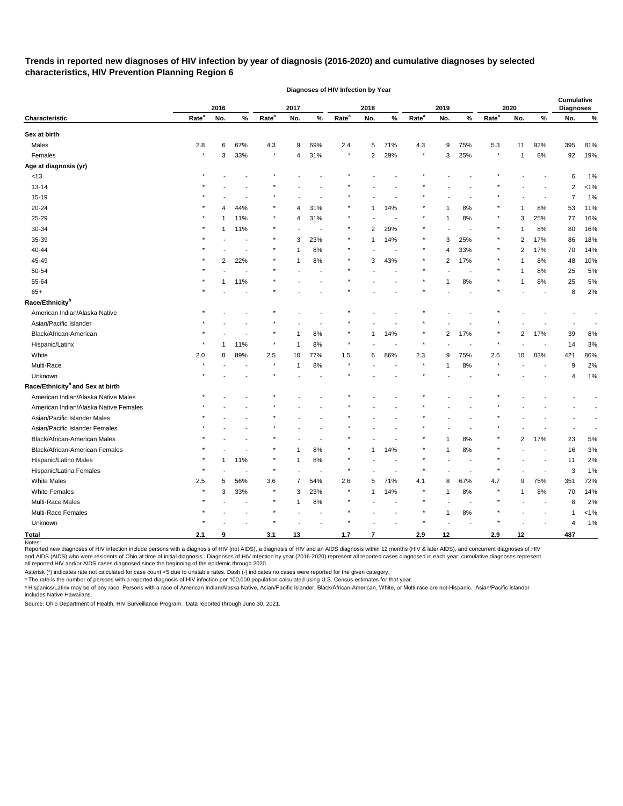# **Trends in reported new diagnoses of HIV infection by year of diagnosis (2016-2020) and cumulative diagnoses by selected characteristics, HIV Prevention Planning Region 6**

|                                              |                   | 2016         |      | 2017              |                | 2018           |                   | 2019                    |      | 2020              |                |        | Cumulative<br><b>Diagnoses</b> |                |        |                |         |
|----------------------------------------------|-------------------|--------------|------|-------------------|----------------|----------------|-------------------|-------------------------|------|-------------------|----------------|--------|--------------------------------|----------------|--------|----------------|---------|
| Characteristic                               | Rate <sup>a</sup> | No.          | $\%$ | Rate <sup>a</sup> | No.            | $\%$           | Rate <sup>a</sup> | No.                     | $\%$ | Rate <sup>a</sup> | No.            | $\%$   | Rate <sup>a</sup>              | No.            | $\%$   | No.            | $\%$    |
| Sex at birth                                 |                   |              |      |                   |                |                |                   |                         |      |                   |                |        |                                |                |        |                |         |
| Males                                        | 2.8               | 6            | 67%  | 4.3               | 9              | 69%            | 2.4               | 5                       | 71%  | 4.3               | 9              | 75%    | 5.3                            | 11             | 92%    | 395            | 81%     |
| Females                                      | $\star$           | 3            | 33%  | $\star$           | $\overline{4}$ | 31%            | $\star$           | $\overline{2}$          | 29%  | $\star$           | 3              | 25%    | $\star$                        | $\mathbf 1$    | 8%     | 92             | 19%     |
| Age at diagnosis (yr)                        |                   |              |      |                   |                |                |                   |                         |      |                   |                |        |                                |                |        |                |         |
| $<13$                                        |                   |              |      |                   |                |                |                   |                         |      |                   |                |        |                                |                |        | 6              | 1%      |
| 13-14                                        |                   |              |      |                   |                |                |                   |                         |      |                   |                |        |                                |                |        | $\overline{2}$ | $< 1\%$ |
| 15-19                                        |                   |              |      |                   |                |                |                   |                         |      |                   |                |        |                                |                |        | 7              | 1%      |
| 20-24                                        |                   | 4            | 44%  |                   | 4              | 31%            |                   |                         | 14%  |                   | 1              | 8%     |                                |                | 8%     | 53             | 11%     |
| 25-29                                        |                   |              | 11%  | $\ast$            | 4              | 31%            |                   |                         |      |                   | $\mathbf{1}$   | 8%     |                                | 3              | 25%    | 77             | 16%     |
| 30-34                                        |                   |              | 11%  |                   |                |                |                   | 2                       | 29%  |                   |                |        |                                |                | 8%     | 80             | 16%     |
| 35-39                                        |                   |              |      |                   | 3              | 23%            |                   | 1                       | 14%  |                   | 3              | 25%    |                                | 2              | 17%    | 86             | 18%     |
| 40-44                                        |                   |              |      |                   |                | 8%             |                   |                         |      |                   | 4              | 33%    |                                | $\overline{c}$ | 17%    | 70             | 14%     |
| 45-49                                        |                   | 2            | 22%  | $\ast$            | -1             | 8%             |                   | 3                       | 43%  |                   | $\overline{2}$ | 17%    |                                |                | 8%     | 48             | 10%     |
| 50-54                                        |                   |              |      |                   |                |                |                   |                         |      | $\star$           |                |        | $\ast$                         |                | 8%     | 25             | 5%      |
| 55-64                                        |                   |              | 11%  |                   |                |                |                   |                         |      |                   | 1              | 8%     |                                |                | 8%     | 25             | $5\%$   |
| $65+$                                        |                   |              |      |                   |                |                |                   |                         |      |                   |                |        |                                |                |        | 8              | $2\%$   |
| Race/Ethnicity <sup>b</sup>                  |                   |              |      |                   |                |                |                   |                         |      |                   |                |        |                                |                |        |                |         |
| American Indian/Alaska Native                |                   |              |      |                   |                |                |                   |                         |      |                   |                |        |                                |                |        |                |         |
| Asian/Pacific Islander                       |                   |              |      |                   |                |                |                   |                         |      |                   |                |        |                                |                |        |                |         |
| Black/African-American                       |                   |              |      |                   |                | 8%             |                   |                         | 14%  |                   | $\overline{2}$ | 17%    |                                | $\overline{2}$ | 17%    | 39             | $8%$    |
| Hispanic/Latinx                              |                   |              | 11%  |                   | -1             | 8%             |                   |                         |      |                   |                |        |                                |                |        | 14             | 3%      |
| White                                        | 2.0               | 8            | 89%  | 2.5               | 10             | 77%            | 1.5               | 6                       | 86%  | 2.3               | 9              | 75%    | 2.6                            | 10             | 83%    | 421            | 86%     |
| Multi-Race                                   |                   |              |      | $\star$           | -1             | 8%             |                   |                         |      |                   | 1              | $8\%$  |                                |                |        | 9              | 2%      |
| Unknown                                      |                   |              |      | $\star$           |                |                |                   |                         |      |                   |                |        |                                |                |        | 4              | 1%      |
| Race/Ethnicity <sup>b</sup> and Sex at birth |                   |              |      |                   |                |                |                   |                         |      |                   |                |        |                                |                |        |                |         |
| American Indian/Alaska Native Males          |                   |              |      |                   |                |                |                   |                         |      |                   |                |        |                                |                |        |                |         |
| American Indian/Alaska Native Females        |                   |              |      |                   |                |                |                   |                         |      |                   |                |        |                                |                |        |                |         |
| Asian/Pacific Islander Males                 |                   |              |      |                   |                |                |                   |                         |      |                   |                |        |                                |                |        |                |         |
| Asian/Pacific Islander Females               |                   |              |      |                   |                |                |                   |                         |      |                   |                |        |                                |                |        |                |         |
| Black/African-American Males                 |                   |              |      |                   |                |                |                   |                         |      |                   | -1             | 8%     |                                | $\overline{c}$ | 17%    | 23             | 5%      |
| Black/African-American Females               |                   |              |      |                   |                | 8%             |                   |                         | 14%  |                   | $\mathbf 1$    | 8%     | $\star$                        |                |        | 16             | 3%      |
| Hispanic/Latino Males                        | $\star$           | $\mathbf{1}$ | 11%  | $\star$           | $\mathbf{1}$   | $8\%$          |                   |                         |      |                   |                |        |                                |                |        | 11             | 2%      |
| Hispanic/Latina Females                      | $\star$           |              |      | $\star$           |                | $\blacksquare$ | $\star$           |                         |      | $\star$           |                |        |                                |                |        | 3              | 1%      |
| White Males                                  | $2.5\,$           | 5            | 56%  | $3.6\,$           | 7              | 54%            | $2.6\,$           | 5                       | 71%  | 4.1               | 8              | 67%    | 4.7                            | 9              | 75%    | 351            | 72%     |
| White Females                                |                   | 3            | 33%  | $\star$           | 3              | 23%            |                   | 1                       | 14%  |                   | $\mathbf{1}$   | $8\%$  |                                | 1              | $8\%$  | 70             | 14%     |
| Multi-Race Males                             |                   |              |      |                   | $\mathbf 1$    | $8\%$          |                   |                         |      |                   |                | $\sim$ |                                |                | $\sim$ | 8              | $2\%$   |
| Multi-Race Females                           |                   |              |      | $\star$           |                |                |                   |                         |      |                   | $\mathbf{1}$   | $8\%$  |                                |                |        | 1              | $< 1\%$ |
| Unknown                                      |                   |              |      |                   |                |                |                   |                         |      |                   |                |        |                                |                |        | 4              | 1%      |
| <b>Total</b>                                 | $2.1$             | 9            |      | 3.1               | 13             |                | $1.7$             | $\overline{\mathbf{r}}$ |      | 2.9               | 12             |        | 2.9                            | 12             |        | 487            |         |

**Diagnoses of HIV Infection by Year**

Reported new diagnoses of HIV infection include persons with a diagnosis of HIV (not AIDS), a diagnosis of HIV and an AIDS diagnosis within 12 months (HIV & later AIDS), and concurrent diagnoses of HIV and AIDS (AIDS) who were residents of Ohio at time of initial diagnosis. Diagnoses of HIV infection by year (2016-2020) represent all reported cases diagnosed in each year; cumulative diagnoses represent all reported HIV and/or AIDS cases diagnosed since the beginning of the epidemic through 2020.

Asterisk (\*) indicates rate not calculated for case count <5 due to unstable rates. Dash (-) indicates no cases were reported for the given category.

 $\,{}^{\rm a}$  The rate is the number of persons with a reported diagnosis of HIV infection per 100,000 population calculated using U.S. Census estimates for that year.

ᵇ Hispanics/Latinx may be of any race. Persons with a race of American Indian/Alaska Native, Asian/Pacific Islander, Black/African-American, White, or Multi-race are not-Hispanic. Asian/Pacific Islander includes Native Hawaiians.

Source: Ohio Department of Health, HIV Surveillance Program. Data reported through June 30, 2021.

Notes: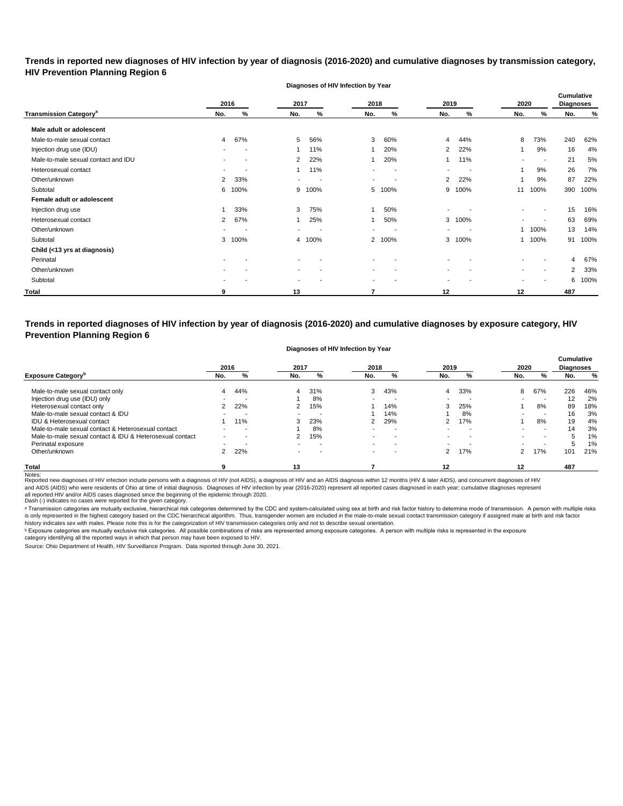# **Trends in reported new diagnoses of HIV infection by year of diagnosis (2016-2020) and cumulative diagnoses by transmission category, HIV Prevention Planning Region 6**

**Diagnoses of HIV Infection by Year**

|                                          |                | 2016                     | 2017   |        | 2018                     |                          | 2019                     |      | 2020                     |                          | Cumulative<br><b>Diagnoses</b> |      |
|------------------------------------------|----------------|--------------------------|--------|--------|--------------------------|--------------------------|--------------------------|------|--------------------------|--------------------------|--------------------------------|------|
| <b>Transmission Category<sup>a</sup></b> | No.            | %                        | No.    | %      | No.                      | %                        | No.                      | %    | No.                      | %                        | No.                            | %    |
| Male adult or adolescent                 |                |                          |        |        |                          |                          |                          |      |                          |                          |                                |      |
| Male-to-male sexual contact              | 4              | 67%                      | 5      | 56%    | 3                        | 60%                      | 4                        | 44%  | 8                        | 73%                      | 240                            | 62%  |
| Injection drug use (IDU)                 | $\sim$         | $\overline{\phantom{a}}$ |        | 11%    |                          | 20%                      | $\overline{2}$           | 22%  |                          | 9%                       | 16                             | 4%   |
| Male-to-male sexual contact and IDU      |                |                          | 2      | 22%    |                          | 20%                      |                          | 11%  | $\overline{\phantom{a}}$ | - 1                      | 21                             | 5%   |
| Heterosexual contact                     |                |                          | 1      | 11%    |                          |                          | $\,$                     |      | 1                        | 9%                       | 26                             | 7%   |
| Other/unknown                            | $\overline{2}$ | 33%                      | $\sim$ | $\sim$ | $\overline{\phantom{a}}$ | $\overline{\phantom{a}}$ | $\overline{2}$           | 22%  |                          | 9%                       | 87                             | 22%  |
| Subtotal                                 | 6              | 100%                     | 9      | 100%   | 5                        | 100%                     | 9                        | 100% | 11                       | 100%                     | 390                            | 100% |
| Female adult or adolescent               |                |                          |        |        |                          |                          |                          |      |                          |                          |                                |      |
| Injection drug use                       |                | 33%                      | 3      | 75%    |                          | 50%                      | ۰                        |      | $\overline{\phantom{a}}$ | $\overline{\phantom{a}}$ | 15                             | 16%  |
| Heterosexual contact                     | 2              | 67%                      |        | 25%    |                          | 50%                      | 3                        | 100% |                          | $\overline{\phantom{a}}$ | 63                             | 69%  |
| Other/unknown                            |                |                          |        |        | $\blacksquare$           |                          | $\overline{\phantom{a}}$ |      | 1                        | 100%                     | 13                             | 14%  |
| Subtotal                                 | 3              | 100%                     | 4      | 100%   | $\overline{2}$           | 100%                     | 3                        | 100% |                          | 1 100%                   | 91                             | 100% |
| Child (<13 yrs at diagnosis)             |                |                          |        |        |                          |                          |                          |      |                          |                          |                                |      |
| Perinatal                                |                |                          |        |        |                          |                          |                          |      |                          |                          | 4                              | 67%  |
| Other/unknown                            |                |                          | $\,$   |        | $\overline{\phantom{a}}$ |                          | $\,$                     |      | $\blacksquare$           | $\overline{\phantom{a}}$ | 2                              | 33%  |
| Subtotal                                 |                |                          |        |        | $\blacksquare$           |                          | $\blacksquare$           |      |                          | $\overline{\phantom{a}}$ | 6                              | 100% |
| Total                                    | 9              |                          | 13     |        | 7                        |                          | 12                       |      | 12                       |                          | 487                            |      |

**Trends in reported diagnoses of HIV infection by year of diagnosis (2016-2020) and cumulative diagnoses by exposure category, HIV Prevention Planning Region 6**

#### **Diagnoses of HIV Infection by Year**

|                                                          | 2016 |     | 2017 |                          | 2018           |                          | 2019          |     | 2020 |                          | <b>Cumulative</b><br><b>Diagnoses</b> |     |
|----------------------------------------------------------|------|-----|------|--------------------------|----------------|--------------------------|---------------|-----|------|--------------------------|---------------------------------------|-----|
| <b>Exposure Category</b> <sup>p</sup>                    | No.  | %   | No.  | %                        | No.            | %                        | No.           | %   | No.  | %                        | No.                                   | %   |
| Male-to-male sexual contact only                         |      | 44% | 4    | 31%                      | 3              | 43%                      | 4             | 33% | 8    | 67%                      | 226                                   | 46% |
| Injection drug use (IDU) only                            |      |     |      | 8%                       | $\blacksquare$ |                          |               |     |      | . .                      | 12                                    | 2%  |
| Heterosexual contact only                                |      | 22% |      | 15%                      |                | 14%                      | 3             | 25% |      | 8%                       | 89                                    | 18% |
| Male-to-male sexual contact & IDU                        |      |     | -    | . .                      |                | 14%                      |               | 8%  |      | . .                      | 16                                    | 3%  |
| IDU & Heterosexual contact                               |      | 11% | 3    | 23%                      | 2              | 29%                      | ົ             | 17% |      | 8%                       | 19                                    | 4%  |
| Male-to-male sexual contact & Heterosexual contact       |      |     |      | 8%                       |                |                          |               |     |      |                          | 14                                    | 3%  |
| Male-to-male sexual contact & IDU & Heterosexual contact |      |     |      | 15%                      | $\blacksquare$ | $\overline{\phantom{a}}$ |               |     |      | $\overline{\phantom{0}}$ |                                       | 1%  |
| Perinatal exposure                                       |      |     | -    | $\overline{\phantom{a}}$ | $\sim$         | -                        |               |     |      | . .                      | $\mathbf{b}$                          | 1%  |
| Other/unknown                                            |      | 22% | -    | . .                      | $\sim$         |                          | $\mathcal{P}$ | 17% |      | 17%                      | 101                                   | 21% |
| <b>Total</b>                                             |      |     | 13   |                          |                |                          | 12            |     | 12   |                          | 487                                   |     |

Notes:<br>Reported new diagnoses of HIV infection include persons with a diagnosis of HIV (not AIDS), a diagnosis of HIV and an AIDS diagnosis within 12 months (HIV & later AIDS), and concurrent diagnoses of HIV all reported HIV and/or AIDS cases diagnosed since the beginning of the epidemic through 2020.<br>Dash (-) indicates no cases were reported for the given category. and AIDS (AIDS) who were residents of Ohio at time of initial diagnosis. Diagnoses of HIV infection by year (2016-2020) represent all reported cases diagnosed in each year; cumulative diagnoses represent

a Transmission categories are mutually exclusive, hierarchical risk categories determined by the CDC and system-calculated using sex at birth and risk factor history to determine mode of transmission. A person with multipl is only represented in the highest category based on the CDC hierarchical algorithm. Thus, transgender women are included in the male-to-male sexual contact transmission category if assigned male at birth and risk factor history indicates sex with males. Please note this is for the categorization of HIV transmission categories only and not to describe sexual orientation.

 $^{\rm b}$  Exposure categories are mutually exclusive risk categories. All possible combinations of risks are represented among exposure categories. A person with multiple risks is represented in the exposure

category identifying all the reported ways in which that person may have been exposed to HIV.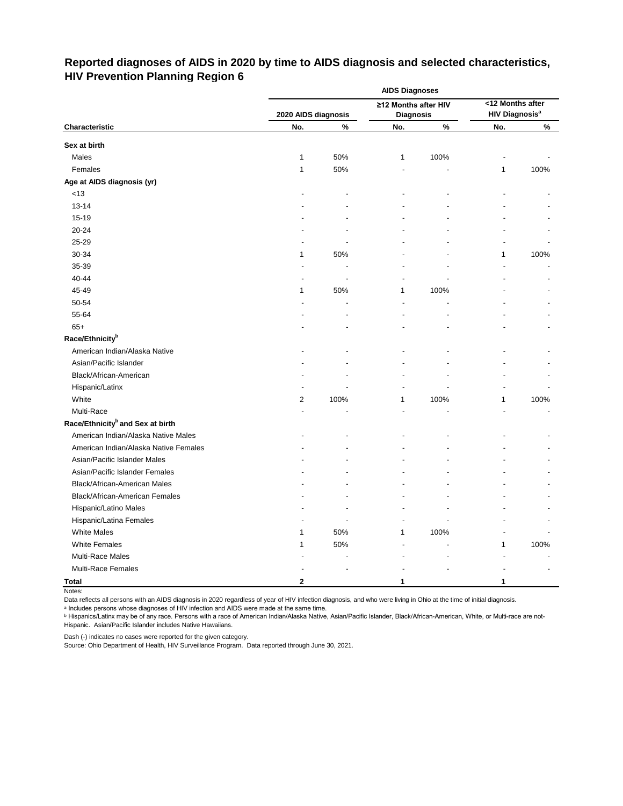# **Reported diagnoses of AIDS in 2020 by time to AIDS diagnosis and selected characteristics, HIV Prevention Planning Region 6**

|                                              | <b>AIDS Diagnoses</b>      |      |                         |      |                                         |      |  |  |  |  |
|----------------------------------------------|----------------------------|------|-------------------------|------|-----------------------------------------|------|--|--|--|--|
|                                              |                            |      | ≥12 Months after HIV    |      | <12 Months after                        |      |  |  |  |  |
| Characteristic                               | 2020 AIDS diagnosis<br>No. | $\%$ | <b>Diagnosis</b><br>No. | $\%$ | <b>HIV Diagnosis<sup>a</sup></b><br>No. | $\%$ |  |  |  |  |
|                                              |                            |      |                         |      |                                         |      |  |  |  |  |
| Sex at birth                                 |                            |      |                         |      |                                         |      |  |  |  |  |
| Males                                        | $\mathbf{1}$               | 50%  | 1                       | 100% |                                         |      |  |  |  |  |
| Females                                      | 1                          | 50%  |                         |      | 1                                       | 100% |  |  |  |  |
| Age at AIDS diagnosis (yr)                   |                            |      |                         |      |                                         |      |  |  |  |  |
| $<13$                                        |                            |      |                         |      |                                         |      |  |  |  |  |
| 13-14                                        |                            |      |                         |      |                                         |      |  |  |  |  |
| 15-19                                        |                            |      |                         |      |                                         |      |  |  |  |  |
| 20-24                                        |                            |      |                         |      |                                         |      |  |  |  |  |
| 25-29                                        |                            |      |                         |      |                                         |      |  |  |  |  |
| 30-34                                        | 1                          | 50%  |                         |      | 1                                       | 100% |  |  |  |  |
| 35-39                                        |                            |      |                         |      |                                         |      |  |  |  |  |
| 40-44                                        |                            |      |                         |      |                                         |      |  |  |  |  |
| 45-49                                        | 1                          | 50%  | 1                       | 100% |                                         |      |  |  |  |  |
| 50-54                                        |                            |      |                         |      |                                         |      |  |  |  |  |
| 55-64                                        |                            |      |                         |      |                                         |      |  |  |  |  |
| $65+$                                        |                            |      |                         |      |                                         |      |  |  |  |  |
| Race/Ethnicity <sup>b</sup>                  |                            |      |                         |      |                                         |      |  |  |  |  |
| American Indian/Alaska Native                |                            |      |                         |      |                                         |      |  |  |  |  |
| Asian/Pacific Islander                       |                            |      |                         |      |                                         |      |  |  |  |  |
| Black/African-American                       |                            |      |                         |      |                                         |      |  |  |  |  |
| Hispanic/Latinx                              |                            |      |                         |      |                                         |      |  |  |  |  |
| White                                        | 2                          | 100% | 1                       | 100% | 1                                       | 100% |  |  |  |  |
| Multi-Race                                   |                            |      |                         |      |                                         |      |  |  |  |  |
| Race/Ethnicity <sup>b</sup> and Sex at birth |                            |      |                         |      |                                         |      |  |  |  |  |
| American Indian/Alaska Native Males          |                            |      |                         |      |                                         |      |  |  |  |  |
| American Indian/Alaska Native Females        |                            |      |                         |      |                                         |      |  |  |  |  |
| Asian/Pacific Islander Males                 |                            |      |                         |      |                                         |      |  |  |  |  |
| Asian/Pacific Islander Females               |                            |      |                         |      |                                         |      |  |  |  |  |
| Black/African-American Males                 |                            |      |                         |      |                                         |      |  |  |  |  |
| Black/African-American Females               |                            |      |                         |      |                                         |      |  |  |  |  |
| Hispanic/Latino Males                        |                            |      |                         |      |                                         |      |  |  |  |  |
| Hispanic/Latina Females                      |                            |      |                         |      |                                         |      |  |  |  |  |
| <b>White Males</b>                           | 1                          | 50%  | 1                       | 100% |                                         |      |  |  |  |  |
| <b>White Females</b>                         | 1                          | 50%  |                         |      | 1                                       | 100% |  |  |  |  |
| Multi-Race Males                             |                            |      |                         |      |                                         |      |  |  |  |  |
| Multi-Race Females                           |                            |      |                         |      |                                         |      |  |  |  |  |
| <b>Total</b>                                 | 2                          |      | 1                       |      | 1                                       |      |  |  |  |  |

Notes:

Data reflects all persons with an AIDS diagnosis in 2020 regardless of year of HIV infection diagnosis, and who were living in Ohio at the time of initial diagnosis.

ᵃ Includes persons whose diagnoses of HIV infection and AIDS were made at the same time.

<u>b Hispanics/Latinx may be of any race. Persons with a race of American Indian/Alaska Native, Asian/Pacific Islander, Black/African-American, White, or Multi-race are not-</u> Hispanic. Asian/Pacific Islander includes Native Hawaiians.

Dash (-) indicates no cases were reported for the given category.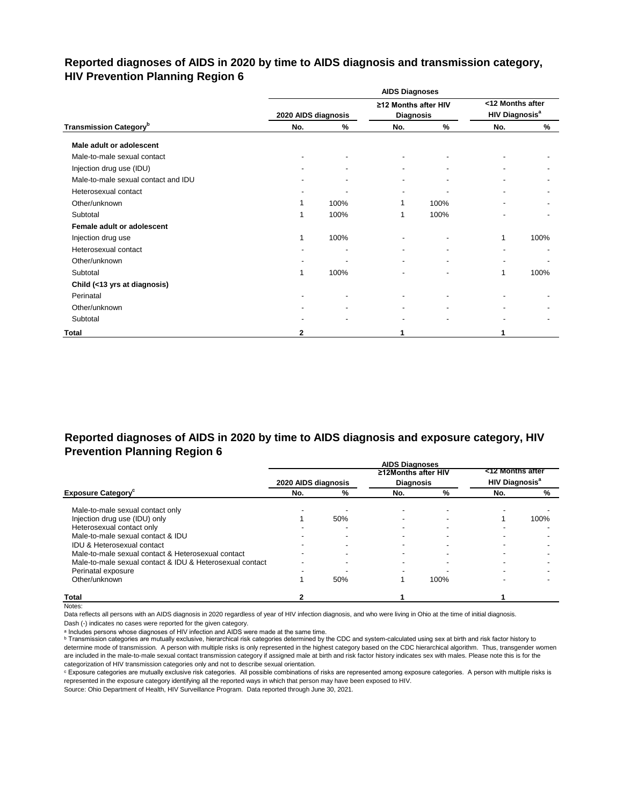### **Reported diagnoses of AIDS in 2020 by time to AIDS diagnosis and transmission category, HIV Prevention Planning Region 6**

|                                           |                     |      | <b>AIDS Diagnoses</b>                    |      |                                                      |      |
|-------------------------------------------|---------------------|------|------------------------------------------|------|------------------------------------------------------|------|
|                                           | 2020 AIDS diagnosis |      | ≥12 Months after HIV<br><b>Diagnosis</b> |      | <12 Months after<br><b>HIV Diagnosis<sup>a</sup></b> |      |
| <b>Transmission Category</b> <sup>b</sup> | No.                 | %    | No.                                      | %    | No.                                                  | %    |
| Male adult or adolescent                  |                     |      |                                          |      |                                                      |      |
| Male-to-male sexual contact               |                     |      |                                          |      |                                                      |      |
| Injection drug use (IDU)                  |                     |      | $\blacksquare$                           |      |                                                      |      |
| Male-to-male sexual contact and IDU       |                     |      |                                          |      |                                                      |      |
| Heterosexual contact                      |                     |      |                                          |      |                                                      |      |
| Other/unknown                             |                     | 100% |                                          | 100% |                                                      |      |
| Subtotal                                  |                     | 100% | 1                                        | 100% |                                                      |      |
| Female adult or adolescent                |                     |      |                                          |      |                                                      |      |
| Injection drug use                        | 1                   | 100% |                                          |      | 1                                                    | 100% |
| Heterosexual contact                      |                     |      |                                          |      |                                                      |      |
| Other/unknown                             |                     |      |                                          |      |                                                      |      |
| Subtotal                                  | 1                   | 100% |                                          |      | 1                                                    | 100% |
| Child (<13 yrs at diagnosis)              |                     |      |                                          |      |                                                      |      |
| Perinatal                                 |                     |      |                                          |      |                                                      |      |
| Other/unknown                             |                     |      |                                          |      |                                                      |      |
| Subtotal                                  |                     |      |                                          |      |                                                      |      |
| Total                                     | 2                   |      |                                          |      |                                                      |      |

## **Reported diagnoses of AIDS in 2020 by time to AIDS diagnosis and exposure category, HIV Prevention Planning Region 6**

|                                                          |                     |     | <b>AIDS Diagnoses</b> |      |                                  |      |
|----------------------------------------------------------|---------------------|-----|-----------------------|------|----------------------------------|------|
|                                                          |                     |     | ≥12Months after HIV   |      | <12 Months after                 |      |
|                                                          | 2020 AIDS diagnosis |     | <b>Diagnosis</b>      |      | <b>HIV Diagnosis<sup>a</sup></b> |      |
| <b>Exposure Category</b> <sup>c</sup>                    | No.                 | %   | No.                   | %    | No.                              | %    |
| Male-to-male sexual contact only                         |                     |     |                       |      |                                  |      |
| Injection drug use (IDU) only                            |                     | 50% |                       |      |                                  | 100% |
| Heterosexual contact only                                |                     |     |                       |      |                                  |      |
| Male-to-male sexual contact & IDU                        |                     |     |                       |      |                                  |      |
| <b>IDU &amp; Heterosexual contact</b>                    |                     |     |                       |      |                                  |      |
| Male-to-male sexual contact & Heterosexual contact       |                     |     |                       |      |                                  |      |
| Male-to-male sexual contact & IDU & Heterosexual contact |                     |     |                       |      |                                  |      |
| Perinatal exposure                                       |                     |     |                       |      |                                  |      |
| Other/unknown                                            |                     | 50% |                       | 100% |                                  |      |
| <b>Total</b>                                             |                     |     |                       |      |                                  |      |

Notes:

Data reflects all persons with an AIDS diagnosis in 2020 regardless of year of HIV infection diagnosis, and who were living in Ohio at the time of initial diagnosis.

Dash (-) indicates no cases were reported for the given category.

a Includes persons whose diagnoses of HIV infection and AIDS were made at the same time.

**b** Transmission categories are mutually exclusive, hierarchical risk categories determined by the CDC and system-calculated using sex at birth and risk factor history to determine mode of transmission. A person with multiple risks is only represented in the highest category based on the CDC hierarchical algorithm. Thus, transgender women are included in the male-to-male sexual contact transmission category if assigned male at birth and risk factor history indicates sex with males. Please note this is for the categorization of HIV transmission categories only and not to describe sexual orientation.

ᶜ Exposure categories are mutually exclusive risk categories. All possible combinations of risks are represented among exposure categories. A person with multiple risks is represented in the exposure category identifying all the reported ways in which that person may have been exposed to HIV.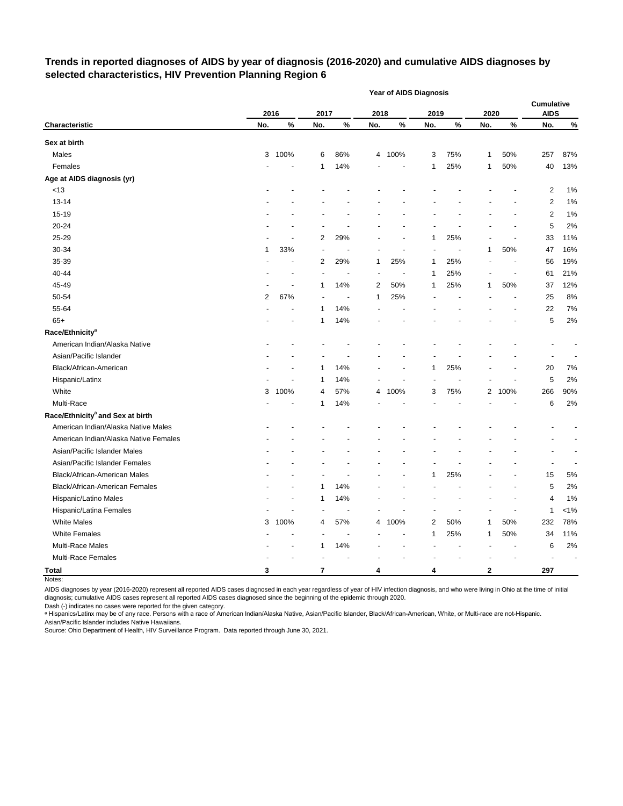#### **Trends in reported diagnoses of AIDS by year of diagnosis (2016-2020) and cumulative AIDS diagnoses by selected characteristics, HIV Prevention Planning Region 6**

|                                              |      |                |                          |                |                | Year of AIDS Diagnosis |      |     |                |                |                           |                          |
|----------------------------------------------|------|----------------|--------------------------|----------------|----------------|------------------------|------|-----|----------------|----------------|---------------------------|--------------------------|
|                                              | 2016 |                | 2017                     |                | 2018           |                        | 2019 |     | 2020           |                | Cumulative<br><b>AIDS</b> |                          |
| Characteristic                               | No.  | $\%$           | No.                      | $\%$           | No.            | $\%$                   | No.  | %   | No.            | %              | No.                       | $\%$                     |
| Sex at birth                                 |      |                |                          |                |                |                        |      |     |                |                |                           |                          |
| Males                                        | 3    | 100%           | 6                        | 86%            |                | 4 100%                 | 3    | 75% | 1              | 50%            | 257                       | 87%                      |
| Females                                      |      |                | 1                        | 14%            |                |                        | 1    | 25% | 1              | 50%            | 40                        | 13%                      |
| Age at AIDS diagnosis (yr)                   |      |                |                          |                |                |                        |      |     |                |                |                           |                          |
| < 13                                         |      |                |                          |                |                |                        |      |     |                |                | 2                         | 1%                       |
| $13 - 14$                                    |      |                |                          |                |                |                        |      |     |                |                | $\overline{\mathbf{c}}$   | 1%                       |
| 15-19                                        |      |                |                          |                |                |                        |      |     |                |                | $\overline{\mathbf{c}}$   | 1%                       |
| 20-24                                        |      |                |                          |                |                |                        |      |     |                |                | 5                         | 2%                       |
| 25-29                                        |      |                | 2                        | 29%            |                |                        | 1    | 25% |                |                | 33                        | 11%                      |
| 30-34                                        | 1    | 33%            | $\overline{\phantom{a}}$ |                |                |                        |      |     | 1              | 50%            | 47                        | 16%                      |
| 35-39                                        |      | $\blacksquare$ | 2                        | 29%            | 1              | 25%                    | 1    | 25% |                |                | 56                        | 19%                      |
| 40-44                                        |      |                | $\overline{\phantom{a}}$ | ÷,             | ÷,             |                        | 1    | 25% |                | $\overline{a}$ | 61                        | 21%                      |
| 45-49                                        |      |                | 1                        | 14%            | $\overline{c}$ | 50%                    | 1    | 25% | 1              | 50%            | 37                        | 12%                      |
| 50-54                                        | 2    | 67%            |                          | $\blacksquare$ | 1              | 25%                    |      |     |                |                | 25                        | 8%                       |
| 55-64                                        |      |                | 1                        | 14%            |                |                        |      |     |                |                | 22                        | 7%                       |
| $65+$                                        |      |                | 1                        | 14%            |                |                        |      |     |                |                | 5                         | 2%                       |
| Race/Ethnicity <sup>a</sup>                  |      |                |                          |                |                |                        |      |     |                |                |                           |                          |
| American Indian/Alaska Native                |      |                |                          |                |                |                        |      |     |                |                |                           |                          |
| Asian/Pacific Islander                       |      |                |                          |                |                |                        |      |     |                |                |                           |                          |
| Black/African-American                       |      |                | 1                        | 14%            |                |                        | 1    | 25% |                |                | 20                        | 7%                       |
| Hispanic/Latinx                              |      |                | 1                        | 14%            |                |                        |      |     |                |                | 5                         | 2%                       |
| White                                        | 3    | 100%           | 4                        | 57%            | 4              | 100%                   | 3    | 75% | $\overline{2}$ | 100%           | 266                       | 90%                      |
| Multi-Race                                   |      |                | 1                        | 14%            |                |                        |      |     |                |                | 6                         | 2%                       |
| Race/Ethnicity <sup>a</sup> and Sex at birth |      |                |                          |                |                |                        |      |     |                |                |                           |                          |
| American Indian/Alaska Native Males          |      |                |                          |                |                |                        |      |     |                |                |                           |                          |
| American Indian/Alaska Native Females        |      |                |                          |                |                |                        |      |     |                |                |                           | $\overline{\phantom{a}}$ |
| Asian/Pacific Islander Males                 |      |                |                          |                |                |                        |      |     |                |                |                           | $\overline{\phantom{a}}$ |
| Asian/Pacific Islander Females               |      |                |                          |                |                |                        |      |     |                |                | $\overline{\phantom{a}}$  |                          |
| Black/African-American Males                 |      |                |                          |                |                |                        | 1    | 25% |                |                | 15                        | 5%                       |
| <b>Black/African-American Females</b>        |      |                | 1                        | 14%            |                |                        |      |     |                |                | 5                         | 2%                       |
| Hispanic/Latino Males                        |      |                | 1                        | 14%            |                |                        |      |     |                |                | 4                         | 1%                       |
| Hispanic/Latina Females                      |      |                |                          |                |                |                        |      |     |                |                | 1                         | $< 1\%$                  |
| <b>White Males</b>                           | 3    | 100%           | 4                        | 57%            |                | 4 100%                 | 2    | 50% | 1              | 50%            | 232                       | 78%                      |
| <b>White Females</b>                         |      |                |                          |                |                |                        | 1    | 25% | 1              | 50%            | 34                        | 11%                      |
| Multi-Race Males                             |      |                | 1                        | 14%            |                |                        |      |     |                |                | 6                         | 2%                       |
| Multi-Race Females                           |      |                |                          |                |                |                        |      |     |                |                |                           |                          |
| <b>Total</b>                                 | 3    |                | $\overline{7}$           |                | 4              |                        | 4    |     | 2              |                | 297                       |                          |

Notes:

AIDS diagnoses by year (2016-2020) represent all reported AIDS cases diagnosed in each year regardless of year of HIV infection diagnosis, and who were living in Ohio at the time of initial diagnosis; cumulative AIDS cases represent all reported AIDS cases diagnosed since the beginning of the epidemic through 2020.

Dash (-) indicates no cases were reported for the given category.

a Hispanics/Latinx may be of any race. Persons with a race of American Indian/Alaska Native, Asian/Pacific Islander, Black/African-American, White, or Multi-race are not-Hispanic. Asian/Pacific Islander includes Native Hawaiians.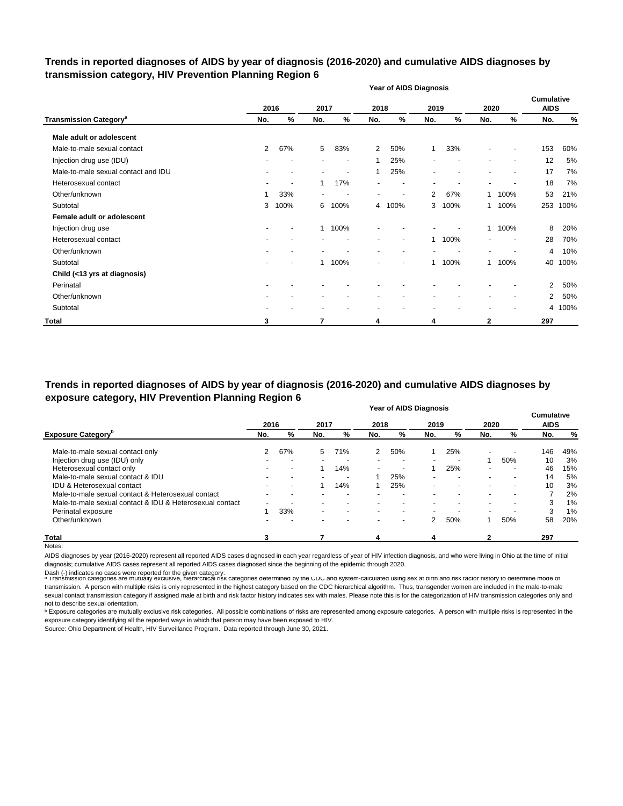#### **Trends in reported diagnoses of AIDS by year of diagnosis (2016-2020) and cumulative AIDS diagnoses by transmission category, HIV Prevention Planning Region 6**

|                                          |                |      |                          |                          |                | <b>Year of AIDS Diagnosis</b> |              |      |                          |                          |                                  |        |
|------------------------------------------|----------------|------|--------------------------|--------------------------|----------------|-------------------------------|--------------|------|--------------------------|--------------------------|----------------------------------|--------|
|                                          |                | 2016 | 2017                     |                          | 2018           |                               | 2019         |      | 2020                     |                          | <b>Cumulative</b><br><b>AIDS</b> |        |
| <b>Transmission Category<sup>a</sup></b> | No.            | %    | No.                      | $\%$                     | No.            | %                             | No.          | %    | No.                      | %                        | No.                              | %      |
| Male adult or adolescent                 |                |      |                          |                          |                |                               |              |      |                          |                          |                                  |        |
| Male-to-male sexual contact              | $\overline{2}$ | 67%  | 5                        | 83%                      | $\overline{2}$ | 50%                           | $\mathbf{1}$ | 33%  |                          |                          | 153                              | 60%    |
| Injection drug use (IDU)                 |                |      |                          | $\overline{\phantom{a}}$ | 1              | 25%                           |              |      | $\overline{\phantom{a}}$ | $\overline{\phantom{a}}$ | 12                               | 5%     |
| Male-to-male sexual contact and IDU      |                |      |                          | $\blacksquare$           | 1              | 25%                           |              |      |                          | $\overline{\phantom{a}}$ | 17                               | 7%     |
| Heterosexual contact                     |                |      |                          | 17%                      |                |                               |              |      |                          |                          | 18                               | 7%     |
| Other/unknown                            | 1              | 33%  | $\overline{\phantom{a}}$ |                          |                | $\overline{\phantom{a}}$      | 2            | 67%  | 1                        | 100%                     | 53                               | 21%    |
| Subtotal                                 | 3              | 100% | 6                        | 100%                     | 4              | 100%                          | 3            | 100% | 1                        | 100%                     | 253                              | 100%   |
| Female adult or adolescent               |                |      |                          |                          |                |                               |              |      |                          |                          |                                  |        |
| Injection drug use                       |                |      | $\mathbf{1}$             | 100%                     |                |                               |              |      | 1                        | 100%                     | 8                                | 20%    |
| Heterosexual contact                     |                |      |                          |                          |                | $\overline{\phantom{a}}$      | 1            | 100% | $\overline{\phantom{a}}$ |                          | 28                               | 70%    |
| Other/unknown                            |                |      |                          |                          |                |                               |              |      |                          |                          | 4                                | 10%    |
| Subtotal                                 |                |      | $\mathbf 1$              | 100%                     |                |                               |              | 100% | 1                        | 100%                     | 40                               | 100%   |
| Child (<13 yrs at diagnosis)             |                |      |                          |                          |                |                               |              |      |                          |                          |                                  |        |
| Perinatal                                |                |      |                          |                          |                |                               |              |      |                          |                          | $\overline{2}$                   | 50%    |
| Other/unknown                            |                |      |                          |                          |                |                               |              |      |                          |                          | $\overline{2}$                   | 50%    |
| Subtotal                                 |                |      |                          |                          |                |                               |              |      |                          |                          |                                  | 4 100% |
| <b>Total</b>                             | 3              |      | 7                        |                          | 4              |                               | 4            |      | 2                        |                          | 297                              |        |

**Year of AIDS Diagnosis Trends in reported diagnoses of AIDS by year of diagnosis (2016-2020) and cumulative AIDS diagnoses by exposure category, HIV Prevention Planning Region 6**

|                                                          |      |     |      |                          |      | rear or AIDS Diagnosis   |                          |                          |                          |      | <b>Cumulative</b> |     |
|----------------------------------------------------------|------|-----|------|--------------------------|------|--------------------------|--------------------------|--------------------------|--------------------------|------|-------------------|-----|
|                                                          | 2016 |     | 2017 |                          | 2018 |                          | 2019                     |                          | 2020                     |      | <b>AIDS</b>       |     |
| <b>Exposure Category</b> <sup>p</sup>                    | No.  | %   | No.  | %                        | No.  | %                        | No.                      | %                        | No.                      | %    | No.               | %   |
| Male-to-male sexual contact only                         | 2    | 67% | 5    | 71%                      | 2    | 50%                      |                          | 25%                      | $\overline{\phantom{0}}$ |      | 146               | 49% |
| Injection drug use (IDU) only                            |      |     |      |                          |      | $\overline{\phantom{a}}$ |                          |                          |                          | 50%  | 10                | 3%  |
| Heterosexual contact only                                |      |     |      | 14%                      |      | $\overline{\phantom{0}}$ |                          | 25%                      | -                        |      | 46                | 15% |
| Male-to-male sexual contact & IDU                        |      |     |      |                          |      | 25%                      | $\overline{\phantom{0}}$ | $\overline{\phantom{0}}$ | $\overline{\phantom{0}}$ | ۰    | 14                | 5%  |
| <b>IDU &amp; Heterosexual contact</b>                    |      |     |      | 14%                      |      | 25%                      | $\overline{\phantom{0}}$ | $\overline{\phantom{0}}$ | $\overline{\phantom{0}}$ | ۰    | 10                | 3%  |
| Male-to-male sexual contact & Heterosexual contact       |      |     |      | $\overline{\phantom{a}}$ |      | $\overline{\phantom{0}}$ |                          | $\overline{\phantom{0}}$ | $\blacksquare$           | $\,$ |                   | 2%  |
| Male-to-male sexual contact & IDU & Heterosexual contact |      |     |      |                          |      | ۰.                       |                          |                          | $\blacksquare$           |      | 3                 | 1%  |
| Perinatal exposure                                       |      | 33% |      |                          |      |                          |                          |                          | $\overline{\phantom{0}}$ |      | 3                 | 1%  |
| Other/unknown                                            |      |     |      |                          |      | $\sim$                   | 2                        | 50%                      |                          | 50%  | 58                | 20% |
| Total                                                    | 3    |     |      |                          | 4    |                          | 4                        |                          |                          |      | 297               |     |

Notes:

AIDS diagnoses by year (2016-2020) represent all reported AIDS cases diagnosed in each year regardless of year of HIV infection diagnosis, and who were living in Ohio at the time of initial diagnosis; cumulative AIDS cases represent all reported AIDS cases diagnosed since the beginning of the epidemic through 2020.

Dash (-) indicates no cases were reported for the given category.<br>◎ Transmission categories are mutually exclusive, nierarcnical risk categories determined by the CDC and system-calculated using sex at birth and risk ract transmission. A person with multiple risks is only represented in the highest category based on the CDC hierarchical algorithm. Thus, transgender women are included in the male-to-male sexual contact transmission category if assigned male at birth and risk factor history indicates sex with males. Please note this is for the categorization of HIV transmission categories only and not to describe sexual orientation.

**b** Exposure categories are mutually exclusive risk categories. All possible combinations of risks are represented among exposure categories. A person with multiple risks is represented in the exposure category identifying all the reported ways in which that person may have been exposed to HIV.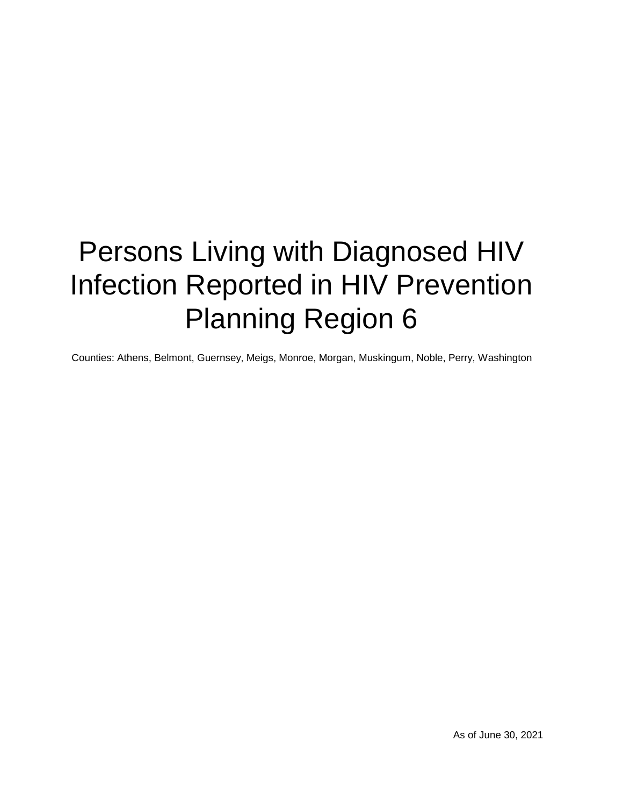# Persons Living with Diagnosed HIV Infection Reported in HIV Prevention Planning Region 6

Counties: Athens, Belmont, Guernsey, Meigs, Monroe, Morgan, Muskingum, Noble, Perry, Washington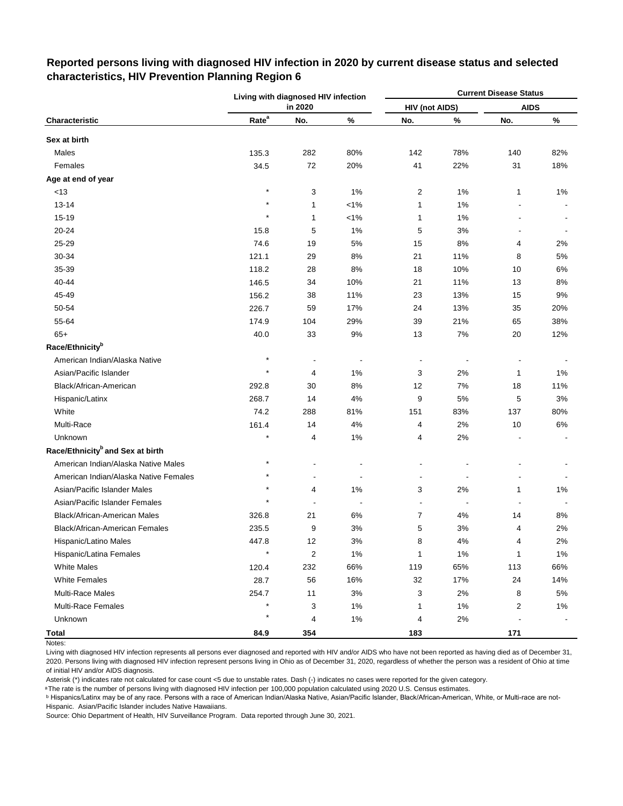|                                              |                   | Living with diagnosed HIV infection |         |                       |                | <b>Current Disease Status</b> |       |
|----------------------------------------------|-------------------|-------------------------------------|---------|-----------------------|----------------|-------------------------------|-------|
|                                              |                   | in 2020                             |         | <b>HIV (not AIDS)</b> |                | <b>AIDS</b>                   |       |
| Characteristic                               | Rate <sup>a</sup> | No.                                 | $\%$    | No.                   | $\%$           | No.                           | $\%$  |
| Sex at birth                                 |                   |                                     |         |                       |                |                               |       |
| Males                                        | 135.3             | 282                                 | 80%     | 142                   | 78%            | 140                           | 82%   |
| Females                                      | 34.5              | 72                                  | 20%     | 41                    | 22%            | 31                            | 18%   |
| Age at end of year                           |                   |                                     |         |                       |                |                               |       |
| <13                                          | $\star$           | 3                                   | 1%      | 2                     | 1%             | $\mathbf 1$                   | 1%    |
| $13 - 14$                                    | $\star$           | 1                                   | $< 1\%$ | 1                     | 1%             |                               |       |
| 15-19                                        | $\star$           | 1                                   | $< 1\%$ | 1                     | 1%             |                               |       |
| 20-24                                        | 15.8              | 5                                   | $1\%$   | 5                     | 3%             | ÷,                            |       |
| 25-29                                        | 74.6              | 19                                  | $5%$    | 15                    | 8%             | 4                             | 2%    |
| 30-34                                        | 121.1             | 29                                  | 8%      | 21                    | 11%            | 8                             | 5%    |
| 35-39                                        | 118.2             | 28                                  | 8%      | 18                    | 10%            | 10                            | 6%    |
| 40-44                                        | 146.5             | 34                                  | 10%     | 21                    | 11%            | 13                            | 8%    |
| 45-49                                        | 156.2             | 38                                  | 11%     | 23                    | 13%            | 15                            | 9%    |
| 50-54                                        | 226.7             | 59                                  | 17%     | 24                    | 13%            | 35                            | 20%   |
| 55-64                                        | 174.9             | 104                                 | 29%     | 39                    | 21%            | 65                            | 38%   |
| $65+$                                        | 40.0              | 33                                  | 9%      | 13                    | 7%             | 20                            | 12%   |
| Race/Ethnicity <sup>b</sup>                  |                   |                                     |         |                       |                |                               |       |
| American Indian/Alaska Native                |                   | $\overline{a}$                      |         | $\overline{a}$        | $\overline{a}$ |                               |       |
| Asian/Pacific Islander                       |                   | 4                                   | 1%      | 3                     | 2%             | 1                             | $1\%$ |
| Black/African-American                       | 292.8             | 30                                  | 8%      | 12                    | 7%             | 18                            | 11%   |
| Hispanic/Latinx                              | 268.7             | 14                                  | 4%      | 9                     | 5%             | 5                             | 3%    |
| White                                        | 74.2              | 288                                 | 81%     | 151                   | 83%            | 137                           | 80%   |
| Multi-Race                                   | 161.4             | 14                                  | 4%      | 4                     | 2%             | 10                            | $6\%$ |
| Unknown                                      | $\star$           | 4                                   | $1\%$   | 4                     | 2%             |                               |       |
| Race/Ethnicity <sup>b</sup> and Sex at birth |                   |                                     |         |                       |                |                               |       |
| American Indian/Alaska Native Males          | $\star$           |                                     |         |                       |                |                               |       |
| American Indian/Alaska Native Females        |                   |                                     |         |                       |                |                               |       |
| Asian/Pacific Islander Males                 |                   | 4                                   | 1%      | 3                     | 2%             | 1                             | 1%    |
| Asian/Pacific Islander Females               | $\star$           |                                     |         |                       |                |                               |       |
| Black/African-American Males                 | 326.8             | 21                                  | 6%      | 7                     | 4%             | 14                            | 8%    |
| Black/African-American Females               | 235.5             | 9                                   | 3%      | 5                     | 3%             | 4                             | 2%    |
| Hispanic/Latino Males                        | 447.8             | $12$                                | 3%      | 8                     | 4%             | 4                             | 2%    |
| Hispanic/Latina Females                      | $\star$           | 2                                   | 1%      | 1                     | 1%             | 1                             | $1\%$ |
| <b>White Males</b>                           | 120.4             | 232                                 | 66%     | 119                   | 65%            | 113                           | 66%   |
| <b>White Females</b>                         | 28.7              | 56                                  | 16%     | 32                    | 17%            | 24                            | 14%   |
| <b>Multi-Race Males</b>                      | 254.7             | 11                                  | 3%      | 3                     | 2%             | 8                             | 5%    |
| Multi-Race Females                           |                   | 3                                   | $1\%$   | 1                     | 1%             | 2                             | $1\%$ |
| Unknown                                      |                   | 4                                   | $1\%$   | 4                     | 2%             |                               |       |
| <b>Total</b>                                 | 84.9              | 354                                 |         | 183                   |                | 171                           |       |

### **Reported persons living with diagnosed HIV infection in 2020 by current disease status and selected characteristics, HIV Prevention Planning Region 6**

Living with diagnosed HIV infection represents all persons ever diagnosed and reported with HIV and/or AIDS who have not been reported as having died as of December 31, 2020. Persons living with diagnosed HIV infection represent persons living in Ohio as of December 31, 2020, regardless of whether the person was a resident of Ohio at time of initial HIV and/or AIDS diagnosis.

Asterisk (\*) indicates rate not calculated for case count <5 due to unstable rates. Dash (-) indicates no cases were reported for the given category.

a The rate is the number of persons living with diagnosed HIV infection per 100,000 population calculated using 2020 U.S. Census estimates.

ᵇ Hispanics/Latinx may be of any race. Persons with a race of American Indian/Alaska Native, Asian/Pacific Islander, Black/African-American, White, or Multi-race are not-Hispanic. Asian/Pacific Islander includes Native Hawaiians.

Notes: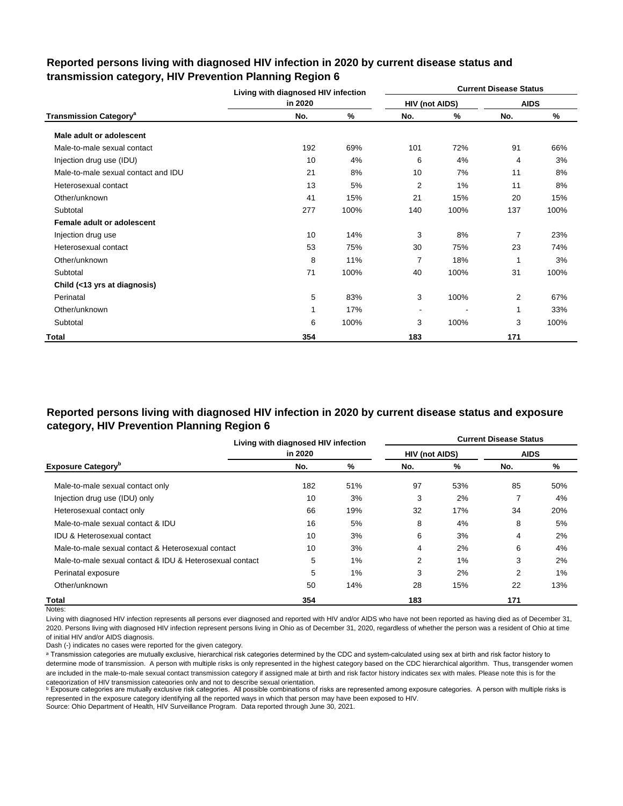|                                          | Living with diagnosed HIV infection |      |                |      | <b>Current Disease Status</b> |      |
|------------------------------------------|-------------------------------------|------|----------------|------|-------------------------------|------|
|                                          | in 2020                             |      | HIV (not AIDS) |      | <b>AIDS</b>                   |      |
| <b>Transmission Category<sup>a</sup></b> | No.                                 | %    | No.            | %    | No.                           | %    |
| Male adult or adolescent                 |                                     |      |                |      |                               |      |
| Male-to-male sexual contact              | 192                                 | 69%  | 101            | 72%  | 91                            | 66%  |
| Injection drug use (IDU)                 | 10                                  | 4%   | 6              | 4%   | 4                             | 3%   |
| Male-to-male sexual contact and IDU      | 21                                  | 8%   | 10             | 7%   | 11                            | 8%   |
| Heterosexual contact                     | 13                                  | 5%   | 2              | 1%   | 11                            | 8%   |
| Other/unknown                            | 41                                  | 15%  | 21             | 15%  | 20                            | 15%  |
| Subtotal                                 | 277                                 | 100% | 140            | 100% | 137                           | 100% |
| Female adult or adolescent               |                                     |      |                |      |                               |      |
| Injection drug use                       | 10                                  | 14%  | 3              | 8%   | $\overline{7}$                | 23%  |
| Heterosexual contact                     | 53                                  | 75%  | 30             | 75%  | 23                            | 74%  |
| Other/unknown                            | 8                                   | 11%  | $\overline{7}$ | 18%  | 1                             | 3%   |
| Subtotal                                 | 71                                  | 100% | 40             | 100% | 31                            | 100% |
| Child (<13 yrs at diagnosis)             |                                     |      |                |      |                               |      |
| Perinatal                                | 5                                   | 83%  | 3              | 100% | 2                             | 67%  |
| Other/unknown                            | 1                                   | 17%  |                |      | 1                             | 33%  |
| Subtotal                                 | 6                                   | 100% | 3              | 100% | 3                             | 100% |
| Total                                    | 354                                 |      | 183            |      | 171                           |      |

#### **Reported persons living with diagnosed HIV infection in 2020 by current disease status and transmission category, HIV Prevention Planning Region 6**

# **Reported persons living with diagnosed HIV infection in 2020 by current disease status and exposure category, HIV Prevention Planning Region 6**

|                                                          | Living with diagnosed HIV infection |       |                       |     | <b>Current Disease Status</b> |     |
|----------------------------------------------------------|-------------------------------------|-------|-----------------------|-----|-------------------------------|-----|
|                                                          | in 2020                             |       | <b>HIV (not AIDS)</b> |     | <b>AIDS</b>                   |     |
| <b>Exposure Category</b> <sup>b</sup>                    | No.                                 | %     | No.                   | %   | No.                           | %   |
| Male-to-male sexual contact only                         | 182                                 | 51%   | 97                    | 53% | 85                            | 50% |
| Injection drug use (IDU) only                            | 10                                  | 3%    | 3                     | 2%  |                               | 4%  |
| Heterosexual contact only                                | 66                                  | 19%   | 32                    | 17% | 34                            | 20% |
| Male-to-male sexual contact & IDU                        | 16                                  | 5%    | 8                     | 4%  | 8                             | 5%  |
| <b>IDU &amp; Heterosexual contact</b>                    | 10                                  | 3%    | 6                     | 3%  | 4                             | 2%  |
| Male-to-male sexual contact & Heterosexual contact       | 10                                  | 3%    | 4                     | 2%  | 6                             | 4%  |
| Male-to-male sexual contact & IDU & Heterosexual contact | 5                                   | $1\%$ | 2                     | 1%  | 3                             | 2%  |
| Perinatal exposure                                       | 5                                   | $1\%$ | 3                     | 2%  | 2                             | 1%  |
| Other/unknown                                            | 50                                  | 14%   | 28                    | 15% | 22                            | 13% |
| Total                                                    | 354                                 |       | 183                   |     | 171                           |     |

Notes:

Living with diagnosed HIV infection represents all persons ever diagnosed and reported with HIV and/or AIDS who have not been reported as having died as of December 31, 2020. Persons living with diagnosed HIV infection represent persons living in Ohio as of December 31, 2020, regardless of whether the person was a resident of Ohio at time of initial HIV and/or AIDS diagnosis.

Dash (-) indicates no cases were reported for the given category.

a Transmission categories are mutually exclusive, hierarchical risk categories determined by the CDC and system-calculated using sex at birth and risk factor history to determine mode of transmission. A person with multiple risks is only represented in the highest category based on the CDC hierarchical algorithm. Thus, transgender women are included in the male-to-male sexual contact transmission category if assigned male at birth and risk factor history indicates sex with males. Please note this is for the categorization of HIV transmission categories only and not to describe sexual orientation.

**b** Exposure categories are mutually exclusive risk categories. All possible combinations of risks are represented among exposure categories. A person with multiple risks is represented in the exposure category identifying all the reported ways in which that person may have been exposed to HIV.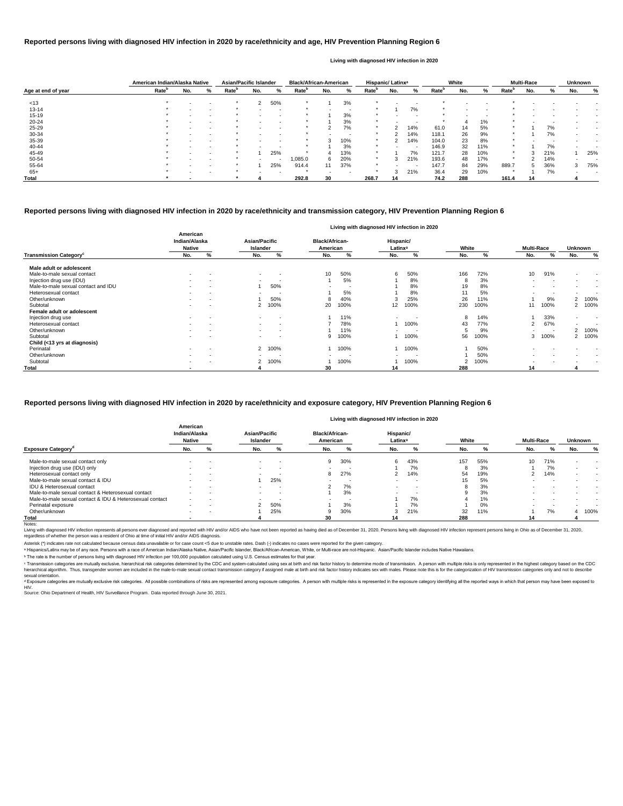|                    | American Indian/Alaska Native |     |   | <b>Asian/Pacific Islander</b> |     |                          | <b>Black/African-American</b> |     |                          | Hispanic/ Latinx <sup>a</sup> |     |                          |                   | White                    |     |                   | <b>Multi-Race</b> |     | <b>Unknown</b> |     |
|--------------------|-------------------------------|-----|---|-------------------------------|-----|--------------------------|-------------------------------|-----|--------------------------|-------------------------------|-----|--------------------------|-------------------|--------------------------|-----|-------------------|-------------------|-----|----------------|-----|
| Age at end of year | Rate <sup>b</sup>             | No. | % | Rate <sup>p</sup>             | No. | %                        | <b>Rate</b> <sup>p</sup>      | No. | %                        | Rate <sup>r</sup>             | No. | %                        | Rate <sup>n</sup> | No.                      | %   | Rate <sup>r</sup> | No.               | %   | No.            | %   |
|                    |                               |     |   |                               |     |                          |                               |     |                          |                               |     |                          |                   |                          |     |                   |                   |     |                |     |
| < 13               |                               |     |   |                               | 2   | 50%                      |                               |     | 3%                       |                               |     |                          |                   |                          |     |                   |                   |     |                |     |
| $13 - 14$          |                               |     |   |                               |     |                          |                               |     | $\overline{\phantom{a}}$ |                               |     | 7%                       |                   |                          |     |                   |                   |     |                |     |
| $15 - 19$          |                               |     |   |                               |     | <b>.</b>                 |                               |     | 3%                       |                               |     | . .                      |                   | $\overline{\phantom{a}}$ |     |                   |                   |     |                |     |
| $20 - 24$          |                               |     |   |                               |     |                          |                               |     | 3%                       |                               |     |                          |                   |                          | 1%  |                   |                   |     |                |     |
| $25 - 29$          |                               |     |   |                               |     | $\sim$                   |                               |     | 7%                       | $\star$                       |     | 14%                      | 61.0              | 14                       | 5%  |                   |                   | 7%  |                |     |
| 30-34              |                               |     |   |                               |     |                          |                               |     | -                        |                               |     | 14%                      | 118.1             | 26                       | 9%  |                   |                   | 7%  |                |     |
| 35-39              |                               |     |   | *                             |     | $\sim$                   |                               | 3   | 10%                      | $\ast$                        |     | 14%                      | 104.0             | 23                       | 8%  | $\star$           |                   |     |                |     |
| 40-44              |                               |     |   |                               |     |                          |                               |     | 3%                       |                               |     | $\overline{\phantom{a}}$ | 146.9             | 32                       | 11% |                   |                   | 7%  |                |     |
| 45-49              |                               |     |   |                               |     | 25%                      |                               | 4   | 13%                      |                               |     | 7%                       | 121.7             | 28                       | 10% | $\star$           | 3                 | 21% |                | 25% |
| 50-54              |                               |     |   |                               |     | $\overline{\phantom{a}}$ | 0.085.0                       | 6   | 20%                      | $\ast$                        |     | 21%                      | 193.6             | 48                       | 17% | $\ast$            |                   | 14% |                |     |
| 55-64              |                               |     |   |                               |     | 25%                      | 914.4                         |     | 37%                      | $\star$                       |     | . .                      | 147.7             | 84                       | 29% | 889.7             |                   | 36% | 3              | 75% |
| $65+$              |                               |     |   |                               |     |                          |                               |     |                          |                               |     | 21%                      | 36.4              | 29                       | 10% |                   |                   | 7%  |                |     |
| Total              |                               |     |   |                               |     |                          | 292.8                         | 30  |                          | 268.7                         | 14  |                          | 74.2              | 288                      |     | 161.4             | 14                |     |                |     |

|                                           |                                            |                          |                                         |                          |                                   |                          |                                  | Living with diagnosed HIV infection in 2020 |       |      |                   |                          |                |                          |
|-------------------------------------------|--------------------------------------------|--------------------------|-----------------------------------------|--------------------------|-----------------------------------|--------------------------|----------------------------------|---------------------------------------------|-------|------|-------------------|--------------------------|----------------|--------------------------|
|                                           | American<br>Indian/Alaska<br><b>Native</b> |                          | <b>Asian/Pacific</b><br><b>Islander</b> |                          | <b>Black/African-</b><br>American |                          | Hispanic/<br>Latinx <sup>a</sup> |                                             | White |      | <b>Multi-Race</b> |                          | <b>Unknown</b> |                          |
| <b>Transmission Category</b> <sup>c</sup> | No.                                        | %                        | No.                                     | $\%$                     | No.                               | %                        | No.                              | %                                           | No.   | %    | No.               | %                        | No.            | %                        |
| Male adult or adolescent                  |                                            |                          |                                         |                          |                                   |                          |                                  |                                             |       |      |                   |                          |                |                          |
| Male-to-male sexual contact               | $\sim$                                     | $\overline{\phantom{a}}$ | $\sim$                                  | $\overline{\phantom{a}}$ | 10                                | 50%                      | 6                                | 50%                                         | 166   | 72%  | 10 <sup>°</sup>   | 91%                      | $\blacksquare$ | $\sim$                   |
| Injection drug use (IDU)                  | $\sim$                                     | $\overline{\phantom{a}}$ | $\sim$                                  | $\sim$                   |                                   | 5%                       |                                  | 8%                                          | 8     | 3%   | $\sim$            |                          |                | $\overline{\phantom{a}}$ |
| Male-to-male sexual contact and IDU       |                                            | $\overline{\phantom{a}}$ |                                         | 50%                      |                                   | $\overline{\phantom{a}}$ |                                  | 8%                                          | 19    | 8%   |                   |                          |                | $\overline{\phantom{a}}$ |
| Heterosexual contact                      | $\sim$                                     | $\overline{\phantom{a}}$ |                                         | $\overline{\phantom{a}}$ |                                   | 5%                       |                                  | 8%                                          | 11    | 5%   | $\sim$            |                          | $\blacksquare$ |                          |
| Other/unknown                             |                                            | $\overline{\phantom{a}}$ |                                         | 50%                      |                                   | 40%                      | 3                                | 25%                                         | 26    | 11%  |                   | 9%                       |                | 2 100%                   |
| Subtotal                                  | $\sim$                                     | $\overline{\phantom{a}}$ |                                         | 100%                     | 20                                | 100%                     | 12                               | 100%                                        | 230   | 100% | 11                | 100%                     |                | 2 100%                   |
| Female adult or adolescent                |                                            |                          |                                         |                          |                                   |                          |                                  |                                             |       |      |                   |                          |                |                          |
| Injection drug use                        | $\sim$                                     | $\blacksquare$           | $\sim$                                  | $\overline{\phantom{a}}$ |                                   | 11%                      | $\sim$                           | <b>.</b>                                    | 8     | 14%  |                   | 33%                      | $\sim$         | $\sim$                   |
| Heterosexual contact                      | $\sim$                                     | $\overline{\phantom{a}}$ | $\sim$                                  | $\sim$                   |                                   | 78%                      |                                  | 100%                                        | 43    | 77%  | 2                 | 67%                      | $\sim$         | $\overline{\phantom{a}}$ |
| Other/unknown                             |                                            |                          |                                         |                          |                                   | 11%                      |                                  |                                             | 5     | 9%   |                   | $\overline{\phantom{a}}$ |                | 2 100%                   |
| Subtotal                                  |                                            | $\overline{\phantom{0}}$ |                                         | $\overline{\phantom{0}}$ |                                   | 100%                     |                                  | 100%                                        | 56    | 100% | 3                 | 100%                     |                | 2 100%                   |
| Child (<13 yrs at diagnosis)              |                                            |                          |                                         |                          |                                   |                          |                                  |                                             |       |      |                   |                          |                |                          |
| Perinatal                                 | $\sim$                                     | $\overline{\phantom{a}}$ |                                         | 2 100%                   |                                   | 100%                     |                                  | 100%                                        |       | 50%  |                   |                          |                |                          |
| Other/unknown                             | $\sim$                                     | $\overline{\phantom{a}}$ |                                         | $\overline{\phantom{a}}$ | $\blacksquare$                    |                          |                                  |                                             |       | 50%  |                   |                          |                |                          |
| Subtotal                                  | $\sim$                                     | $\overline{\phantom{a}}$ |                                         | 100%                     |                                   | 100%                     |                                  | 100%                                        | 2     | 100% |                   |                          |                | $\overline{\phantom{a}}$ |
| <b>Total</b>                              | . .                                        |                          |                                         |                          | 30                                |                          | 14                               |                                             | 288   |      | 14                |                          |                |                          |

<sup>c</sup> Transmission categories are mutually exclusive, hierarchical risk categories determined by the CDC and system-calculated using sex at birth and risk factor history to determine mode of transmission. A person with multi hierarchical algorithm. Thus, transgender women are included in the male-to-male sexual contact transmission category if assigned male at birth and risk factor history indicates sex with males. Please note this is for the sexual orientation.

<sup>d</sup> Exposure categories are mutually exclusive risk categories. All possible combinations of risks are represented among exposure categories. A person with multiple risks is represented in the exposure category identifying

|                                                          |                                            |                          |                           |        |                                   |                          | Living with diagnosed HIV infection in 2020 |     |       |       |                   |     |                |      |
|----------------------------------------------------------|--------------------------------------------|--------------------------|---------------------------|--------|-----------------------------------|--------------------------|---------------------------------------------|-----|-------|-------|-------------------|-----|----------------|------|
|                                                          | American<br>Indian/Alaska<br><b>Native</b> |                          | Asian/Pacific<br>Islander |        | <b>Black/African-</b><br>American |                          | Hispanic/<br>Latinx <sup>a</sup>            |     | White |       | <b>Multi-Race</b> |     | <b>Unknown</b> |      |
| <b>Exposure Category</b> <sup>a</sup>                    | No.                                        | %                        | No.                       |        | No.                               | %                        | No.                                         |     | No.   |       | No.               |     | No.            | %    |
| Male-to-male sexual contact only                         |                                            |                          | $\sim$                    | -      | 9                                 | 30%                      | 6                                           | 43% | 157   | 55%   | 10                | 71% |                |      |
| Injection drug use (IDU) only                            |                                            |                          | $\sim$                    | -      | $\sim$                            | . .                      |                                             | 7%  |       | 3%    |                   | 7%  |                |      |
| Heterosexual contact only                                | $\overline{\phantom{0}}$                   | $\overline{\phantom{a}}$ | $\sim$                    | -      | 8                                 | 27%                      |                                             | 14% | 54    | 19%   |                   | 14% |                |      |
| Male-to-male sexual contact & IDU                        |                                            |                          |                           | 25%    | -                                 | -                        | $\sim$                                      | -   | 15    | 5%    |                   |     |                |      |
| <b>IDU &amp; Heterosexual contact</b>                    | $\overline{\phantom{0}}$                   |                          |                           | -      |                                   | 7%                       |                                             | -   |       | 3%    |                   |     |                |      |
| Male-to-male sexual contact & Heterosexual contact       |                                            |                          | $\sim$                    | $\sim$ |                                   | 3%                       |                                             | -   |       | 3%    |                   |     |                |      |
| Male-to-male sexual contact & IDU & Heterosexual contact | $\sim$                                     |                          |                           | -      | $\overline{\phantom{0}}$          | $\overline{\phantom{a}}$ |                                             | 7%  |       | $1\%$ |                   |     |                |      |
| Perinatal exposure                                       |                                            |                          |                           | 50%    |                                   | 3%                       |                                             | 7%  |       | 0%    |                   |     |                |      |
| Other/unknown                                            | $\overline{\phantom{0}}$                   | $\overline{\phantom{a}}$ |                           | 25%    |                                   | 30%                      |                                             | 21% | 32    | 11%   |                   | 7%  |                | 100% |
| Total                                                    |                                            |                          |                           |        | 30                                |                          | 14                                          |     | 288   |       | 14                |     |                |      |

Notes:

Living with diagnosed HIV infection represents all persons ever diagnosed and reported with HIV and/or AIDS who have not been reported as having died as of December 31, 2020. Persons living with diagnosed HIV infection rep regardless of whether the person was a resident of Ohio at time of initial HIV and/or AIDS diagnosis.

#### **Reported persons living with diagnosed HIV infection in 2020 by race/ethnicity and transmission category, HIV Prevention Planning Region 6**

#### **Reported persons living with diagnosed HIV infection in 2020 by race/ethnicity and age, HIV Prevention Planning Region 6**

#### **Living with diagnosed HIV infection in 2020**

#### **Reported persons living with diagnosed HIV infection in 2020 by race/ethnicity and exposure category, HIV Prevention Planning Region 6**

#### **Living with diagnosed HIV infection in 2020**

ᵇ The rate is the number of persons living with diagnosed HIV infection per 100,000 population calculated using U.S. Census estimates for that year.

Source: Ohio Department of Health, HIV Surveillance Program. Data reported through June 30, 2021. HIV.

Asterisk (\*) indicates rate not calculated because census data unavailable or for case count <5 due to unstable rates. Dash (-) indicates no cases were reported for the given category.

a Hispanics/Latinx may be of any race. Persons with a race of American Indian/Alaska Native, Asian/Pacific Islander, Black/African-American, White, or Multi-race are not-Hispanic. Asian/Pacific Islander includes Native Haw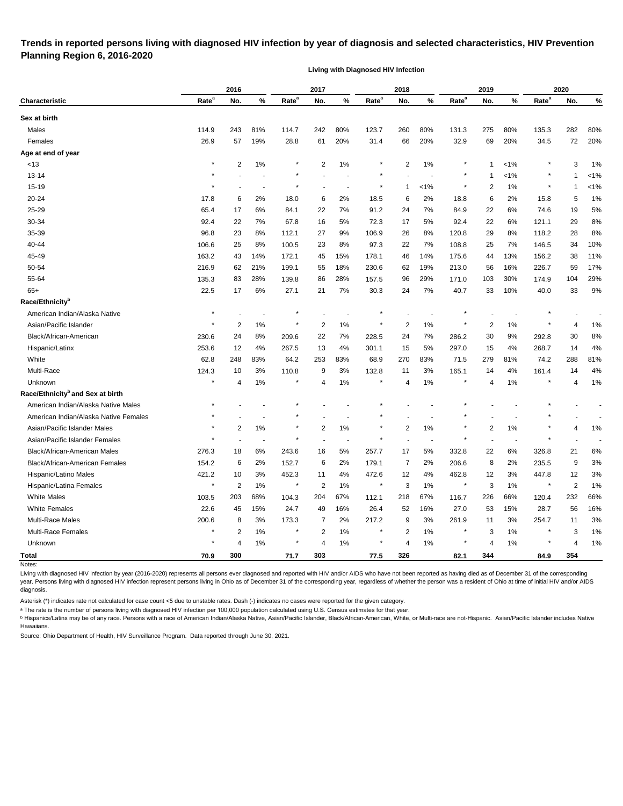#### **Trends in reported persons living with diagnosed HIV infection by year of diagnosis and selected characteristics, HIV Prevention Planning Region 6, 2016-2020**

**Living with Diagnosed HIV Infection**

|                                              |                   | 2016           |                          |                   | 2017           |                          |                   | 2018           |                          |                   | 2019                      |       |                   | 2020           |         |
|----------------------------------------------|-------------------|----------------|--------------------------|-------------------|----------------|--------------------------|-------------------|----------------|--------------------------|-------------------|---------------------------|-------|-------------------|----------------|---------|
| Characteristic                               | Rate <sup>a</sup> | No.            | %                        | Rate <sup>a</sup> | No.            | %                        | Rate <sup>a</sup> | No.            | %                        | Rate <sup>a</sup> | No.                       | %     | Rate <sup>a</sup> | No.            | %       |
| Sex at birth                                 |                   |                |                          |                   |                |                          |                   |                |                          |                   |                           |       |                   |                |         |
| Males                                        | 114.9             | 243            | 81%                      | 114.7             | 242            | 80%                      | 123.7             | 260            | 80%                      | 131.3             | 275                       | 80%   | 135.3             | 282            | 80%     |
| Females                                      | 26.9              | 57             | 19%                      | 28.8              | 61             | 20%                      | 31.4              | 66             | 20%                      | 32.9              | 69                        | 20%   | 34.5              | 72             | 20%     |
| Age at end of year                           |                   |                |                          |                   |                |                          |                   |                |                          |                   |                           |       |                   |                |         |
| <13                                          | $\ast$            | 2              | 1%                       |                   | $\overline{2}$ | $1\%$                    | $\ast$            | 2              | $1\%$                    |                   | 1                         | 1%    |                   | 3              | 1%      |
| $13 - 14$                                    | $\star$           |                |                          |                   |                |                          |                   |                |                          |                   | 1                         | $1\%$ |                   | -1             | $< 1\%$ |
| $15 - 19$                                    |                   |                |                          | $\star$           |                |                          | $\ast$            | -1             | 1%                       |                   | $\overline{2}$            | $1\%$ |                   | 1              | $< 1\%$ |
| 20-24                                        | 17.8              | 6              | 2%                       | 18.0              | 6              | 2%                       | 18.5              | 6              | 2%                       | 18.8              | 6                         | 2%    | 15.8              | 5              | 1%      |
| 25-29                                        | 65.4              | 17             | 6%                       | 84.1              | 22             | 7%                       | 91.2              | 24             | 7%                       | 84.9              | 22                        | 6%    | 74.6              | 19             | 5%      |
| 30-34                                        | 92.4              | 22             | 7%                       | 67.8              | 16             | 5%                       | 72.3              | 17             | 5%                       | 92.4              | 22                        | 6%    | 121.1             | 29             | 8%      |
| 35-39                                        | 96.8              | 23             | 8%                       | 112.1             | 27             | 9%                       | 106.9             | 26             | 8%                       | 120.8             | 29                        | 8%    | 118.2             | 28             | 8%      |
| 40-44                                        | 106.6             | 25             | 8%                       | 100.5             | 23             | 8%                       | 97.3              | 22             | 7%                       | 108.8             | 25                        | 7%    | 146.5             | 34             | 10%     |
| 45-49                                        | 163.2             | 43             | 14%                      | 172.1             | 45             | 15%                      | 178.1             | 46             | 14%                      | 175.6             | 44                        | 13%   | 156.2             | 38             | 11%     |
| 50-54                                        | 216.9             | 62             | 21%                      | 199.1             | 55             | 18%                      | 230.6             | 62             | 19%                      | 213.0             | 56                        | 16%   | 226.7             | 59             | 17%     |
| 55-64                                        | 135.3             | 83             | 28%                      | 139.8             | 86             | 28%                      | 157.5             | 96             | 29%                      | 171.0             | 103                       | 30%   | 174.9             | 104            | 29%     |
| $65+$                                        | 22.5              | 17             | 6%                       | 27.1              | 21             | 7%                       | 30.3              | 24             | 7%                       | 40.7              | 33                        | 10%   | 40.0              | 33             | $9\%$   |
| Race/Ethnicity <sup>b</sup>                  |                   |                |                          |                   |                |                          |                   |                |                          |                   |                           |       |                   |                |         |
| American Indian/Alaska Native                | $\star$           |                |                          |                   |                |                          |                   |                |                          |                   |                           |       |                   |                |         |
| Asian/Pacific Islander                       |                   | 2              | 1%                       |                   | 2              | $1\%$                    |                   | $\overline{c}$ | 1%                       |                   | $\overline{2}$            | 1%    |                   | 4              | 1%      |
| Black/African-American                       | 230.6             | 24             | 8%                       | 209.6             | 22             | 7%                       | 228.5             | 24             | 7%                       | 286.2             | 30                        | 9%    | 292.8             | 30             | 8%      |
| Hispanic/Latinx                              | 253.6             | 12             | 4%                       | 267.5             | 13             | 4%                       | 301.1             | 15             | 5%                       | 297.0             | 15                        | 4%    | 268.7             | 14             | 4%      |
| White                                        | 62.8              | 248            | 83%                      | 64.2              | 253            | 83%                      | 68.9              | 270            | 83%                      | 71.5              | 279                       | 81%   | 74.2              | 288            | 81%     |
| Multi-Race                                   | 124.3             | 10             | 3%                       | 110.8             | 9              | 3%                       | 132.8             | 11             | 3%                       | 165.1             | 14                        | 4%    | 161.4             | 14             | 4%      |
| Unknown                                      | ×                 | 4              | 1%                       | $\ast$            | 4              | $1\%$                    | $\ast$            | 4              | 1%                       |                   | 4                         | $1\%$ |                   | 4              | $1\%$   |
| Race/Ethnicity <sup>b</sup> and Sex at birth |                   |                |                          |                   |                |                          |                   |                |                          |                   |                           |       |                   |                |         |
| American Indian/Alaska Native Males          |                   |                |                          |                   |                |                          |                   |                |                          |                   |                           |       |                   |                |         |
| American Indian/Alaska Native Females        |                   |                |                          |                   |                |                          |                   |                |                          |                   |                           |       |                   |                |         |
| Asian/Pacific Islander Males                 | $^{\star}$        | 2              | 1%                       | $\star$           | $\overline{2}$ | $1\%$                    | $\ast$            | $\overline{c}$ | 1%                       |                   | $\overline{2}$            | 1%    |                   | 4              | 1%      |
| Asian/Pacific Islander Females               |                   |                | $\overline{\phantom{a}}$ | $\star$           |                | $\overline{\phantom{a}}$ | $\star$           |                | $\overline{\phantom{a}}$ | $\star$           | $\overline{\phantom{a}}$  |       |                   |                |         |
| Black/African-American Males                 | 276.3             | 18             | 6%                       | 243.6             | 16             | 5%                       | 257.7             | 17             | 5%                       | 332.8             | 22                        | 6%    | 326.8             | 21             | 6%      |
| Black/African-American Females               | 154.2             | 6              | 2%                       | 152.7             | 6              | 2%                       | 179.1             | 7              | 2%                       | 206.6             | 8                         | 2%    | 235.5             | 9              | 3%      |
| Hispanic/Latino Males                        | 421.2             | 10             | 3%                       | 452.3             | 11             | 4%                       | 472.6             | 12             | 4%                       | 462.8             | 12                        | 3%    | 447.8             | 12             | $3\%$   |
| Hispanic/Latina Females                      | $\star$           | $\overline{2}$ | $1\%$                    | $\star$           | $\overline{2}$ | $1\%$                    | $\ast$            | 3              | 1%                       | $\star$           | $\ensuremath{\mathsf{3}}$ | $1\%$ | $^\star$          | 2              | 1%      |
| <b>White Males</b>                           | 103.5             | 203            | 68%                      | 104.3             | 204            | 67%                      | 112.1             | 218            | 67%                      | 116.7             | 226                       | 66%   | 120.4             | 232            | 66%     |
| <b>White Females</b>                         | 22.6              | 45             | 15%                      | 24.7              | 49             | 16%                      | 26.4              | 52             | 16%                      | 27.0              | 53                        | 15%   | 28.7              | 56             | 16%     |
| Multi-Race Males                             | 200.6             | 8              | 3%                       | 173.3             | 7              | 2%                       | 217.2             | 9              | 3%                       | 261.9             | 11                        | 3%    | 254.7             | 11             | $3%$    |
| Multi-Race Females                           |                   | $\overline{2}$ | 1%                       | ×                 | $\overline{c}$ | $1\%$                    |                   | 2              | 1%                       |                   | 3                         | 1%    |                   | 3              | 1%      |
| Unknown                                      | $\star$           | $\overline{4}$ | $1\%$                    | $^\star$          | 4              | $1\%$                    | $\star$           | $\overline{4}$ | 1%                       |                   | 4                         | $1\%$ |                   | $\overline{4}$ | 1%      |
| <b>Total</b>                                 | 70.9              | 300            |                          | 71.7              | 303            |                          | 77.5              | 326            |                          | 82.1              | 344                       |       | 84.9              | 354            |         |
| Notes:                                       |                   |                |                          |                   |                |                          |                   |                |                          |                   |                           |       |                   |                |         |

Living with diagnosed HIV infection by year (2016-2020) represents all persons ever diagnosed and reported with HIV and/or AIDS who have not been reported as having died as of December 31 of the corresponding year. Persons living with diagnosed HIV infection represent persons living in Ohio as of December 31 of the corresponding year, regardless of whether the person was a resident of Ohio at time of initial HIV and/or AIDS diagnosis.

Asterisk (\*) indicates rate not calculated for case count <5 due to unstable rates. Dash (-) indicates no cases were reported for the given category.

a The rate is the number of persons living with diagnosed HIV infection per 100,000 population calculated using U.S. Census estimates for that year.

**b** Hispanics/Latinx may be of any race. Persons with a race of American Indian/Alaska Native, Asian/Pacific Islander, Black/African-American, White, or Multi-race are not-Hispanic. Asian/Pacific Islander includes Native Hawaiians.